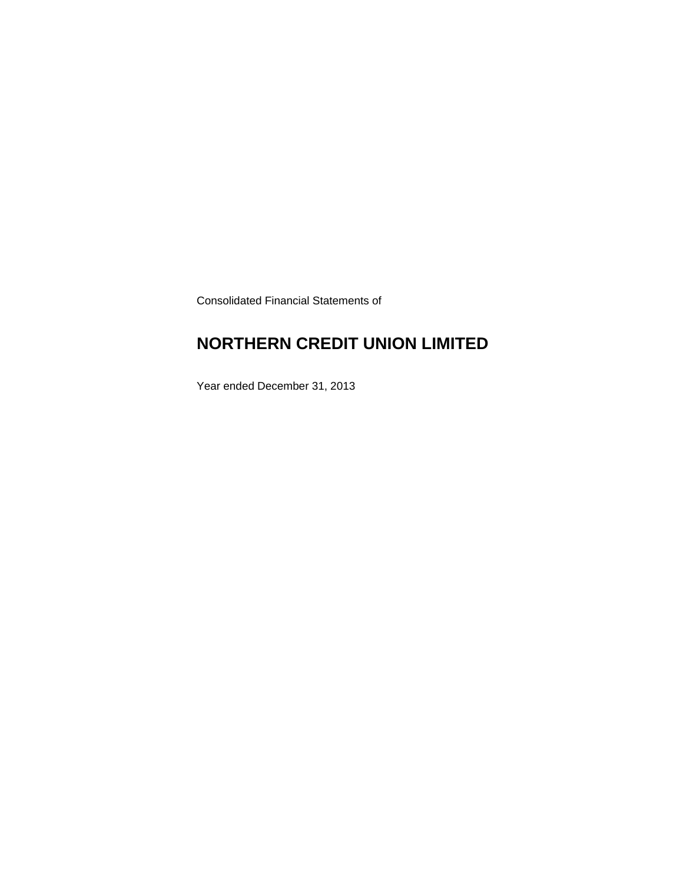Consolidated Financial Statements of

### **NORTHERN CREDIT UNION LIMITED**

Year ended December 31, 2013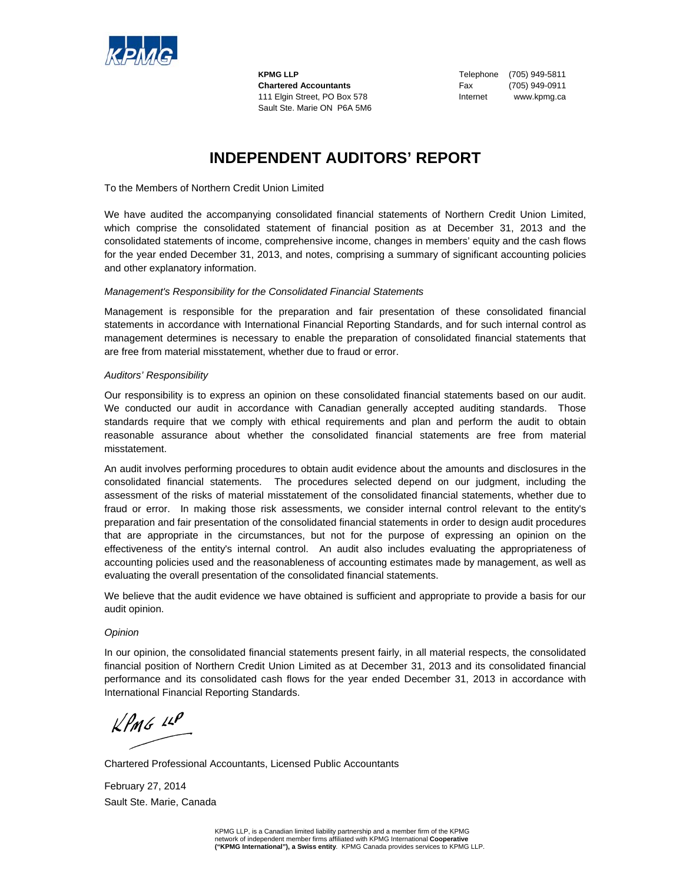

**Chartered Accountants** Fax (705) 949-0911 111 Elgin Street, PO Box 578 Internet www.kpmg.ca Sault Ste. Marie ON P6A 5M6

**KPMG LLP** Telephone (705) 949-5811

### **INDEPENDENT AUDITORS' REPORT**

To the Members of Northern Credit Union Limited

We have audited the accompanying consolidated financial statements of Northern Credit Union Limited, which comprise the consolidated statement of financial position as at December 31, 2013 and the consolidated statements of income, comprehensive income, changes in members' equity and the cash flows for the year ended December 31, 2013, and notes, comprising a summary of significant accounting policies and other explanatory information.

#### *Management's Responsibility for the Consolidated Financial Statements*

Management is responsible for the preparation and fair presentation of these consolidated financial statements in accordance with International Financial Reporting Standards, and for such internal control as management determines is necessary to enable the preparation of consolidated financial statements that are free from material misstatement, whether due to fraud or error.

#### *Auditors' Responsibility*

Our responsibility is to express an opinion on these consolidated financial statements based on our audit. We conducted our audit in accordance with Canadian generally accepted auditing standards. Those standards require that we comply with ethical requirements and plan and perform the audit to obtain reasonable assurance about whether the consolidated financial statements are free from material misstatement.

An audit involves performing procedures to obtain audit evidence about the amounts and disclosures in the consolidated financial statements. The procedures selected depend on our judgment, including the assessment of the risks of material misstatement of the consolidated financial statements, whether due to fraud or error. In making those risk assessments, we consider internal control relevant to the entity's preparation and fair presentation of the consolidated financial statements in order to design audit procedures that are appropriate in the circumstances, but not for the purpose of expressing an opinion on the effectiveness of the entity's internal control. An audit also includes evaluating the appropriateness of accounting policies used and the reasonableness of accounting estimates made by management, as well as evaluating the overall presentation of the consolidated financial statements.

We believe that the audit evidence we have obtained is sufficient and appropriate to provide a basis for our audit opinion.

#### *Opinion*

In our opinion, the consolidated financial statements present fairly, in all material respects, the consolidated financial position of Northern Credit Union Limited as at December 31, 2013 and its consolidated financial performance and its consolidated cash flows for the year ended December 31, 2013 in accordance with International Financial Reporting Standards.

 $KPMG$  14P

Chartered Professional Accountants, Licensed Public Accountants

February 27, 2014 Sault Ste. Marie, Canada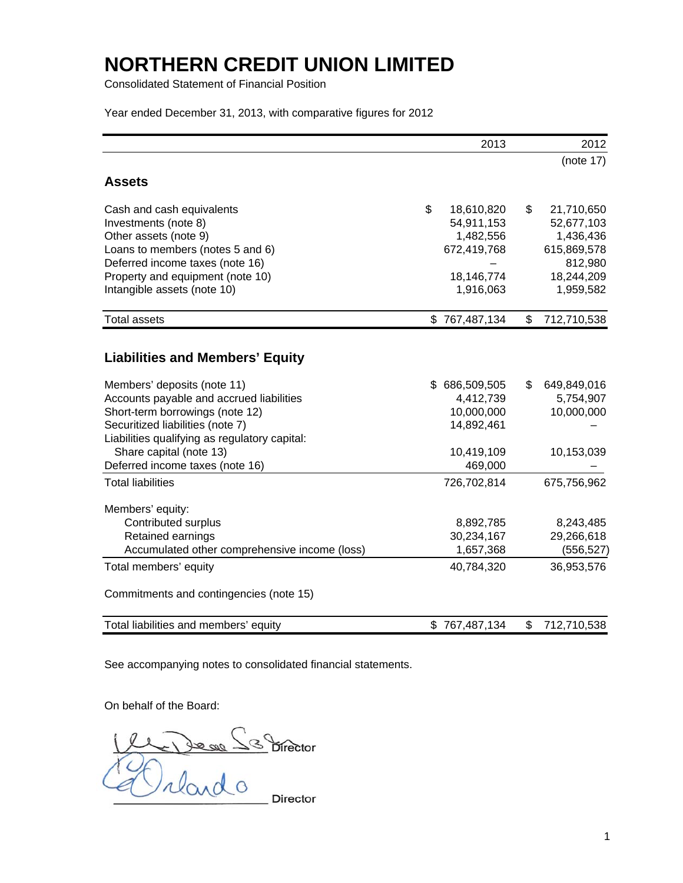Consolidated Statement of Financial Position

Year ended December 31, 2013, with comparative figures for 2012

|                                               |     | 2013          | 2012              |
|-----------------------------------------------|-----|---------------|-------------------|
|                                               |     |               | (note 17)         |
| <b>Assets</b>                                 |     |               |                   |
| Cash and cash equivalents                     | \$  | 18,610,820    | \$<br>21,710,650  |
| Investments (note 8)                          |     | 54,911,153    | 52,677,103        |
| Other assets (note 9)                         |     | 1,482,556     | 1,436,436         |
| Loans to members (notes 5 and 6)              |     | 672,419,768   | 615,869,578       |
| Deferred income taxes (note 16)               |     |               | 812,980           |
| Property and equipment (note 10)              |     | 18,146,774    | 18,244,209        |
| Intangible assets (note 10)                   |     | 1,916,063     | 1,959,582         |
| <b>Total assets</b>                           |     | \$767,487,134 | \$<br>712,710,538 |
|                                               |     |               |                   |
| <b>Liabilities and Members' Equity</b>        |     |               |                   |
| Members' deposits (note 11)                   | \$. | 686,509,505   | \$<br>649,849,016 |
| Accounts payable and accrued liabilities      |     | 4,412,739     | 5,754,907         |
| Short-term borrowings (note 12)               |     | 10,000,000    | 10,000,000        |
| Securitized liabilities (note 7)              |     | 14,892,461    |                   |
| Liabilities qualifying as regulatory capital: |     |               |                   |
| Share capital (note 13)                       |     | 10,419,109    | 10,153,039        |
| Deferred income taxes (note 16)               |     | 469,000       |                   |
| <b>Total liabilities</b>                      |     | 726,702,814   | 675,756,962       |
| Members' equity:                              |     |               |                   |
| Contributed surplus                           |     | 8,892,785     | 8,243,485         |
| Retained earnings                             |     | 30,234,167    | 29,266,618        |
| Accumulated other comprehensive income (loss) |     | 1,657,368     | (556, 527)        |
| Total members' equity                         |     | 40,784,320    | 36,953,576        |
| Commitments and contingencies (note 15)       |     |               |                   |
| Total liabilities and members' equity         |     | \$767,487,134 | \$<br>712,710,538 |

See accompanying notes to consolidated financial statements.

On behalf of the Board:

Le De se S Birector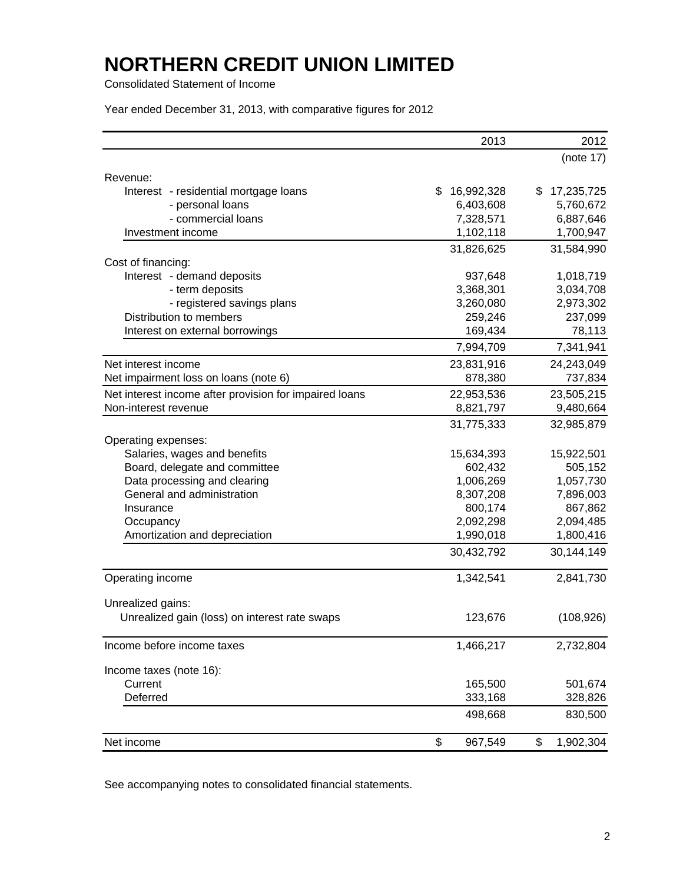Consolidated Statement of Income

Year ended December 31, 2013, with comparative figures for 2012

|                                                            | 2013             | 2012                 |
|------------------------------------------------------------|------------------|----------------------|
|                                                            |                  | (note 17)            |
| Revenue:                                                   |                  |                      |
| Interest - residential mortgage loans                      | \$<br>16,992,328 | 17,235,725<br>S      |
| - personal loans                                           | 6,403,608        | 5,760,672            |
| - commercial loans                                         | 7,328,571        | 6,887,646            |
| Investment income                                          | 1,102,118        | 1,700,947            |
|                                                            | 31,826,625       | 31,584,990           |
| Cost of financing:                                         |                  |                      |
| Interest - demand deposits                                 | 937,648          | 1,018,719            |
| - term deposits                                            | 3,368,301        | 3,034,708            |
| - registered savings plans                                 | 3,260,080        | 2,973,302            |
| Distribution to members                                    | 259,246          | 237,099              |
| Interest on external borrowings                            | 169,434          | 78,113               |
|                                                            | 7,994,709        | 7,341,941            |
| Net interest income                                        | 23,831,916       | 24,243,049           |
| Net impairment loss on loans (note 6)                      | 878,380          | 737,834              |
| Net interest income after provision for impaired loans     | 22,953,536       | 23,505,215           |
| Non-interest revenue                                       | 8,821,797        | 9,480,664            |
|                                                            | 31,775,333       | 32,985,879           |
|                                                            |                  |                      |
| Operating expenses:<br>Salaries, wages and benefits        | 15,634,393       | 15,922,501           |
| Board, delegate and committee                              | 602,432          | 505,152              |
|                                                            | 1,006,269        | 1,057,730            |
| Data processing and clearing<br>General and administration | 8,307,208        |                      |
| Insurance                                                  | 800,174          | 7,896,003<br>867,862 |
|                                                            |                  |                      |
| Occupancy                                                  | 2,092,298        | 2,094,485            |
| Amortization and depreciation                              | 1,990,018        | 1,800,416            |
|                                                            | 30,432,792       | 30,144,149           |
| Operating income                                           | 1,342,541        | 2,841,730            |
| Unrealized gains:                                          |                  |                      |
| Unrealized gain (loss) on interest rate swaps              | 123,676          | (108, 926)           |
| Income before income taxes                                 | 1,466,217        | 2,732,804            |
| Income taxes (note 16):                                    |                  |                      |
| Current                                                    | 165,500          | 501,674              |
| Deferred                                                   | 333,168          | 328,826              |
|                                                            | 498,668          | 830,500              |
| Net income                                                 | \$<br>967,549    | \$<br>1,902,304      |

See accompanying notes to consolidated financial statements.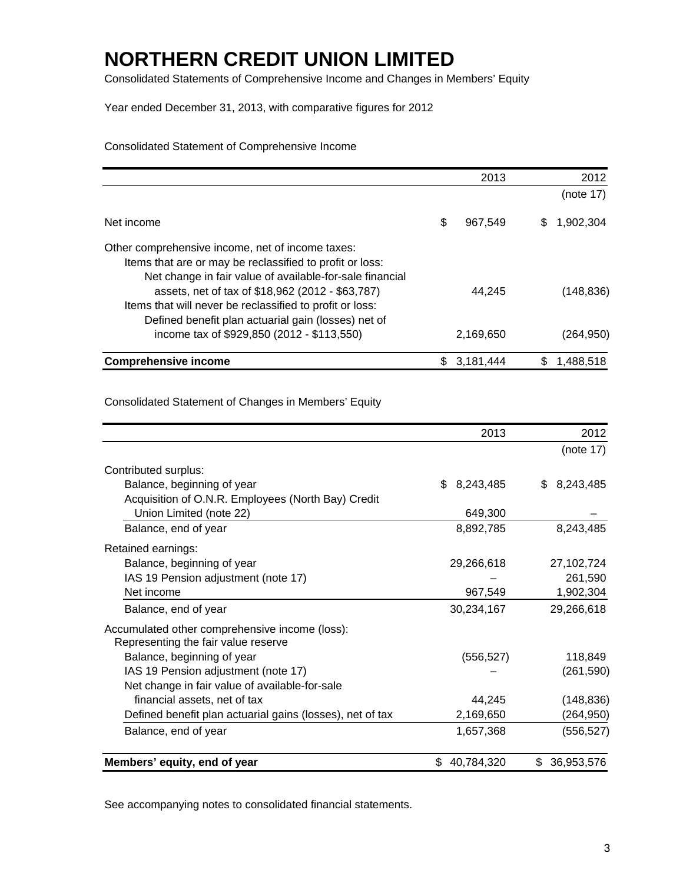Consolidated Statements of Comprehensive Income and Changes in Members' Equity

Year ended December 31, 2013, with comparative figures for 2012

Consolidated Statement of Comprehensive Income

| <b>Comprehensive income</b>                              | S  | 3,181,444 |   | 1,488,518  |
|----------------------------------------------------------|----|-----------|---|------------|
| income tax of \$929,850 (2012 - \$113,550)               |    | 2,169,650 |   | (264,950)  |
| Defined benefit plan actuarial gain (losses) net of      |    |           |   |            |
| Items that will never be reclassified to profit or loss: |    |           |   |            |
| assets, net of tax of \$18,962 (2012 - \$63,787)         |    | 44.245    |   | (148, 836) |
| Net change in fair value of available-for-sale financial |    |           |   |            |
| Items that are or may be reclassified to profit or loss: |    |           |   |            |
| Other comprehensive income, net of income taxes:         |    |           |   |            |
|                                                          |    |           |   |            |
| Net income                                               | \$ | 967,549   | S | 1,902,304  |
|                                                          |    |           |   |            |
|                                                          |    |           |   | (note 17)  |
|                                                          |    |           |   |            |
|                                                          |    | 2013      |   | 2012       |

Consolidated Statement of Changes in Members' Equity

|                                                           | 2013             | 2012             |
|-----------------------------------------------------------|------------------|------------------|
|                                                           |                  | (note 17)        |
| Contributed surplus:                                      |                  |                  |
| Balance, beginning of year                                | 8,243,485<br>\$. | 8,243,485<br>\$. |
| Acquisition of O.N.R. Employees (North Bay) Credit        |                  |                  |
| Union Limited (note 22)                                   | 649,300          |                  |
| Balance, end of year                                      | 8,892,785        | 8,243,485        |
| Retained earnings:                                        |                  |                  |
| Balance, beginning of year                                | 29,266,618       | 27,102,724       |
| IAS 19 Pension adjustment (note 17)                       |                  | 261,590          |
| Net income                                                | 967,549          | 1,902,304        |
| Balance, end of year                                      | 30,234,167       | 29,266,618       |
| Accumulated other comprehensive income (loss):            |                  |                  |
| Representing the fair value reserve                       |                  |                  |
| Balance, beginning of year                                | (556, 527)       | 118,849          |
| IAS 19 Pension adjustment (note 17)                       |                  | (261, 590)       |
| Net change in fair value of available-for-sale            |                  |                  |
| financial assets, net of tax                              | 44,245           | (148, 836)       |
| Defined benefit plan actuarial gains (losses), net of tax | 2,169,650        | (264, 950)       |
| Balance, end of year                                      | 1,657,368        | (556, 527)       |
| Members' equity, end of year                              | 40,784,320<br>\$ | \$<br>36,953,576 |

See accompanying notes to consolidated financial statements.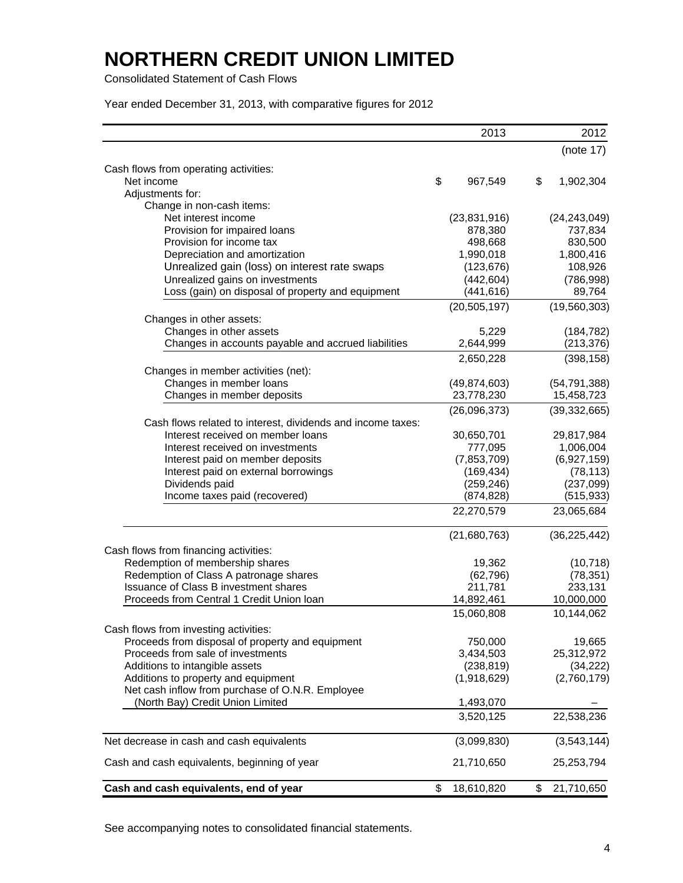Consolidated Statement of Cash Flows

Year ended December 31, 2013, with comparative figures for 2012

|                                                                                                  | 2013             | 2012             |
|--------------------------------------------------------------------------------------------------|------------------|------------------|
|                                                                                                  |                  | (note 17)        |
| Cash flows from operating activities:                                                            |                  |                  |
| Net income                                                                                       | \$<br>967,549    | \$<br>1,902,304  |
| Adjustments for:                                                                                 |                  |                  |
| Change in non-cash items:                                                                        |                  |                  |
| Net interest income                                                                              | (23, 831, 916)   | (24, 243, 049)   |
| Provision for impaired loans                                                                     | 878,380          | 737,834          |
| Provision for income tax                                                                         | 498,668          | 830,500          |
| Depreciation and amortization                                                                    | 1,990,018        | 1,800,416        |
| Unrealized gain (loss) on interest rate swaps                                                    | (123, 676)       | 108,926          |
| Unrealized gains on investments                                                                  | (442, 604)       | (786, 998)       |
| Loss (gain) on disposal of property and equipment                                                | (441,616)        | 89,764           |
|                                                                                                  | (20, 505, 197)   | (19,560,303)     |
| Changes in other assets:                                                                         |                  |                  |
| Changes in other assets                                                                          | 5,229            | (184, 782)       |
| Changes in accounts payable and accrued liabilities                                              | 2,644,999        | (213, 376)       |
|                                                                                                  | 2,650,228        | (398, 158)       |
| Changes in member activities (net):                                                              |                  |                  |
| Changes in member loans                                                                          | (49, 874, 603)   | (54, 791, 388)   |
| Changes in member deposits                                                                       | 23,778,230       | 15,458,723       |
|                                                                                                  | (26,096,373)     | (39, 332, 665)   |
| Cash flows related to interest, dividends and income taxes:<br>Interest received on member loans | 30,650,701       |                  |
|                                                                                                  |                  | 29,817,984       |
| Interest received on investments                                                                 | 777,095          | 1,006,004        |
| Interest paid on member deposits                                                                 | (7,853,709)      | (6,927,159)      |
| Interest paid on external borrowings                                                             | (169, 434)       | (78, 113)        |
| Dividends paid                                                                                   | (259, 246)       | (237,099)        |
| Income taxes paid (recovered)                                                                    | (874, 828)       | (515, 933)       |
|                                                                                                  | 22,270,579       | 23,065,684       |
|                                                                                                  | (21,680,763)     | (36, 225, 442)   |
| Cash flows from financing activities:                                                            |                  |                  |
| Redemption of membership shares                                                                  | 19,362           | (10, 718)        |
| Redemption of Class A patronage shares                                                           | (62, 796)        | (78, 351)        |
| Issuance of Class B investment shares                                                            | 211,781          | 233,131          |
| Proceeds from Central 1 Credit Union Ioan                                                        | 14,892,461       | 10,000,000       |
|                                                                                                  | 15,060,808       | 10,144,062       |
| Cash flows from investing activities:                                                            |                  |                  |
| Proceeds from disposal of property and equipment                                                 | 750,000          | 19,665           |
| Proceeds from sale of investments                                                                | 3,434,503        | 25,312,972       |
| Additions to intangible assets                                                                   | (238, 819)       | (34, 222)        |
| Additions to property and equipment                                                              | (1,918,629)      | (2,760,179)      |
| Net cash inflow from purchase of O.N.R. Employee                                                 |                  |                  |
| (North Bay) Credit Union Limited                                                                 | 1,493,070        |                  |
|                                                                                                  | 3,520,125        | 22,538,236       |
| Net decrease in cash and cash equivalents                                                        | (3,099,830)      | (3,543,144)      |
| Cash and cash equivalents, beginning of year                                                     | 21,710,650       | 25,253,794       |
| Cash and cash equivalents, end of year                                                           | \$<br>18,610,820 | \$<br>21,710,650 |

See accompanying notes to consolidated financial statements.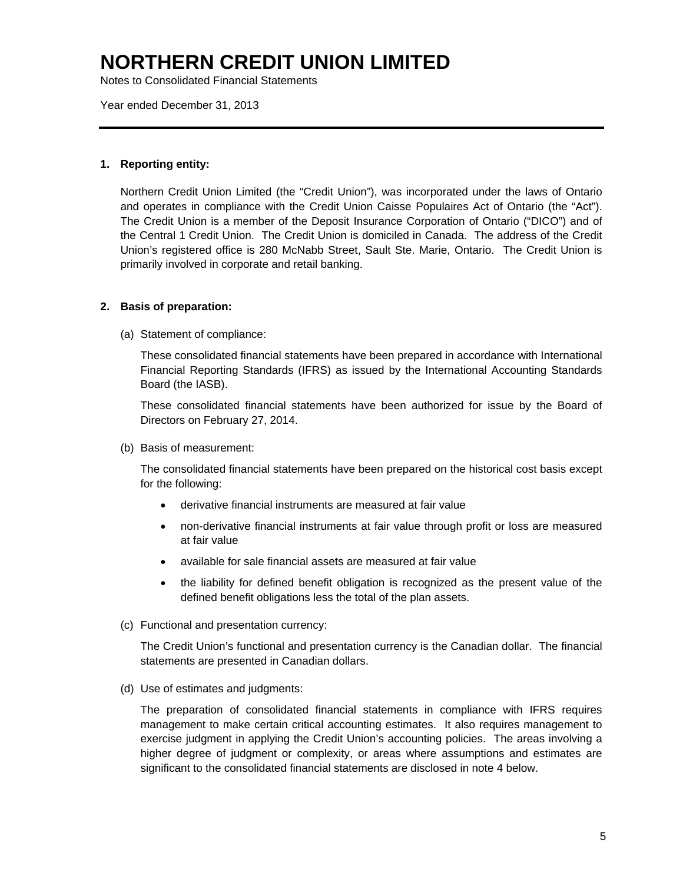Notes to Consolidated Financial Statements

Year ended December 31, 2013

### **1. Reporting entity:**

Northern Credit Union Limited (the "Credit Union"), was incorporated under the laws of Ontario and operates in compliance with the Credit Union Caisse Populaires Act of Ontario (the "Act"). The Credit Union is a member of the Deposit Insurance Corporation of Ontario ("DICO") and of the Central 1 Credit Union. The Credit Union is domiciled in Canada. The address of the Credit Union's registered office is 280 McNabb Street, Sault Ste. Marie, Ontario. The Credit Union is primarily involved in corporate and retail banking.

### **2. Basis of preparation:**

(a) Statement of compliance:

These consolidated financial statements have been prepared in accordance with International Financial Reporting Standards (IFRS) as issued by the International Accounting Standards Board (the IASB).

These consolidated financial statements have been authorized for issue by the Board of Directors on February 27, 2014.

(b) Basis of measurement:

The consolidated financial statements have been prepared on the historical cost basis except for the following:

- derivative financial instruments are measured at fair value
- non-derivative financial instruments at fair value through profit or loss are measured at fair value
- available for sale financial assets are measured at fair value
- the liability for defined benefit obligation is recognized as the present value of the defined benefit obligations less the total of the plan assets.
- (c) Functional and presentation currency:

The Credit Union's functional and presentation currency is the Canadian dollar. The financial statements are presented in Canadian dollars.

(d) Use of estimates and judgments:

The preparation of consolidated financial statements in compliance with IFRS requires management to make certain critical accounting estimates. It also requires management to exercise judgment in applying the Credit Union's accounting policies. The areas involving a higher degree of judgment or complexity, or areas where assumptions and estimates are significant to the consolidated financial statements are disclosed in note 4 below.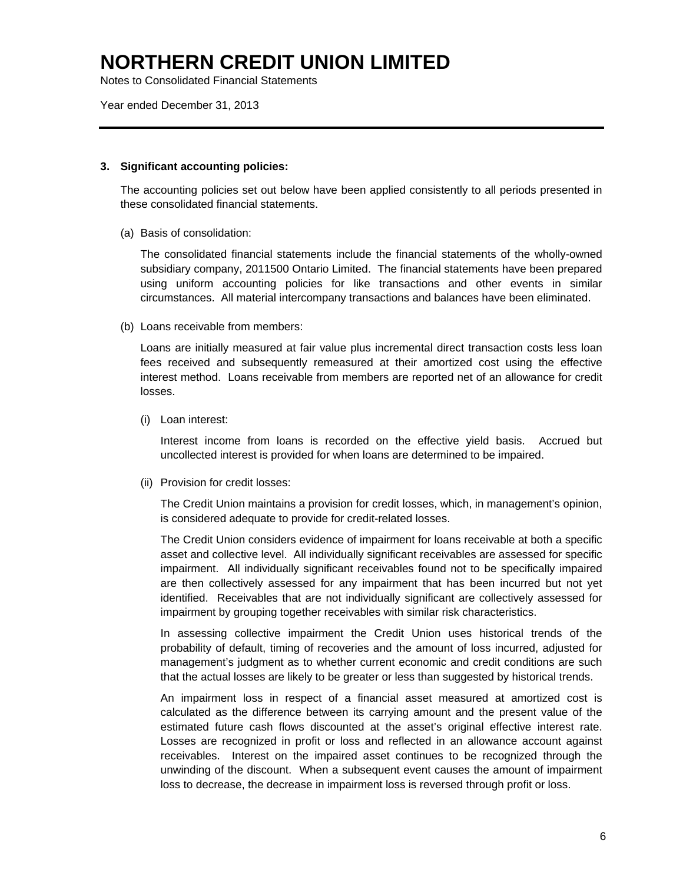Notes to Consolidated Financial Statements

Year ended December 31, 2013

### **3. Significant accounting policies:**

The accounting policies set out below have been applied consistently to all periods presented in these consolidated financial statements.

(a) Basis of consolidation:

The consolidated financial statements include the financial statements of the wholly-owned subsidiary company, 2011500 Ontario Limited. The financial statements have been prepared using uniform accounting policies for like transactions and other events in similar circumstances. All material intercompany transactions and balances have been eliminated.

(b) Loans receivable from members:

Loans are initially measured at fair value plus incremental direct transaction costs less loan fees received and subsequently remeasured at their amortized cost using the effective interest method. Loans receivable from members are reported net of an allowance for credit losses.

(i) Loan interest:

 Interest income from loans is recorded on the effective yield basis. Accrued but uncollected interest is provided for when loans are determined to be impaired.

(ii) Provision for credit losses:

 The Credit Union maintains a provision for credit losses, which, in management's opinion, is considered adequate to provide for credit-related losses.

 The Credit Union considers evidence of impairment for loans receivable at both a specific asset and collective level. All individually significant receivables are assessed for specific impairment. All individually significant receivables found not to be specifically impaired are then collectively assessed for any impairment that has been incurred but not yet identified. Receivables that are not individually significant are collectively assessed for impairment by grouping together receivables with similar risk characteristics.

 In assessing collective impairment the Credit Union uses historical trends of the probability of default, timing of recoveries and the amount of loss incurred, adjusted for management's judgment as to whether current economic and credit conditions are such that the actual losses are likely to be greater or less than suggested by historical trends.

 An impairment loss in respect of a financial asset measured at amortized cost is calculated as the difference between its carrying amount and the present value of the estimated future cash flows discounted at the asset's original effective interest rate. Losses are recognized in profit or loss and reflected in an allowance account against receivables. Interest on the impaired asset continues to be recognized through the unwinding of the discount. When a subsequent event causes the amount of impairment loss to decrease, the decrease in impairment loss is reversed through profit or loss.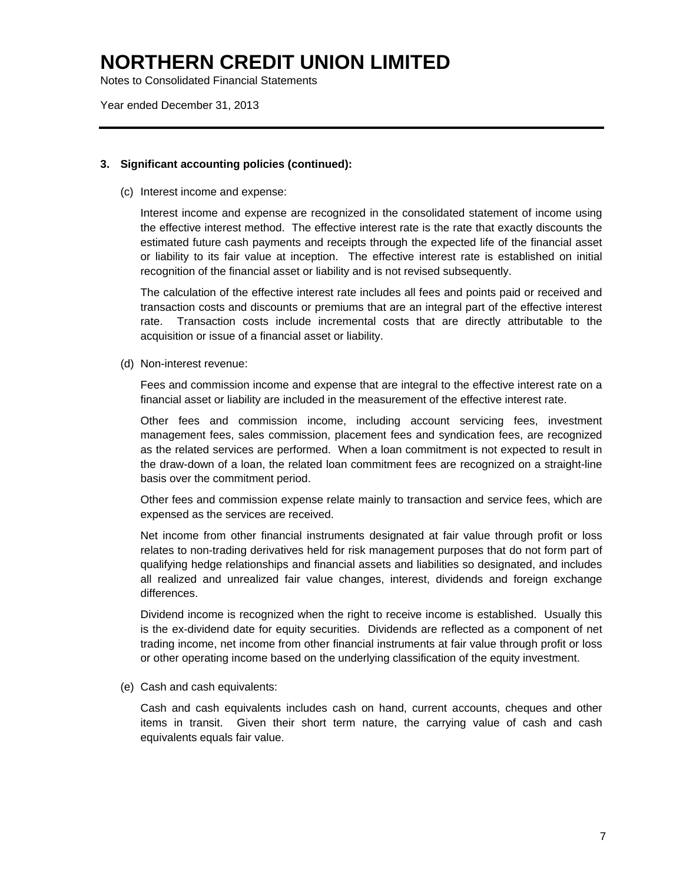Notes to Consolidated Financial Statements

Year ended December 31, 2013

### **3. Significant accounting policies (continued):**

(c) Interest income and expense:

 Interest income and expense are recognized in the consolidated statement of income using the effective interest method. The effective interest rate is the rate that exactly discounts the estimated future cash payments and receipts through the expected life of the financial asset or liability to its fair value at inception. The effective interest rate is established on initial recognition of the financial asset or liability and is not revised subsequently.

 The calculation of the effective interest rate includes all fees and points paid or received and transaction costs and discounts or premiums that are an integral part of the effective interest rate. Transaction costs include incremental costs that are directly attributable to the acquisition or issue of a financial asset or liability.

(d) Non-interest revenue:

Fees and commission income and expense that are integral to the effective interest rate on a financial asset or liability are included in the measurement of the effective interest rate.

Other fees and commission income, including account servicing fees, investment management fees, sales commission, placement fees and syndication fees, are recognized as the related services are performed. When a loan commitment is not expected to result in the draw-down of a loan, the related loan commitment fees are recognized on a straight-line basis over the commitment period.

Other fees and commission expense relate mainly to transaction and service fees, which are expensed as the services are received.

Net income from other financial instruments designated at fair value through profit or loss relates to non-trading derivatives held for risk management purposes that do not form part of qualifying hedge relationships and financial assets and liabilities so designated, and includes all realized and unrealized fair value changes, interest, dividends and foreign exchange differences.

Dividend income is recognized when the right to receive income is established. Usually this is the ex-dividend date for equity securities. Dividends are reflected as a component of net trading income, net income from other financial instruments at fair value through profit or loss or other operating income based on the underlying classification of the equity investment.

(e) Cash and cash equivalents:

Cash and cash equivalents includes cash on hand, current accounts, cheques and other items in transit. Given their short term nature, the carrying value of cash and cash equivalents equals fair value.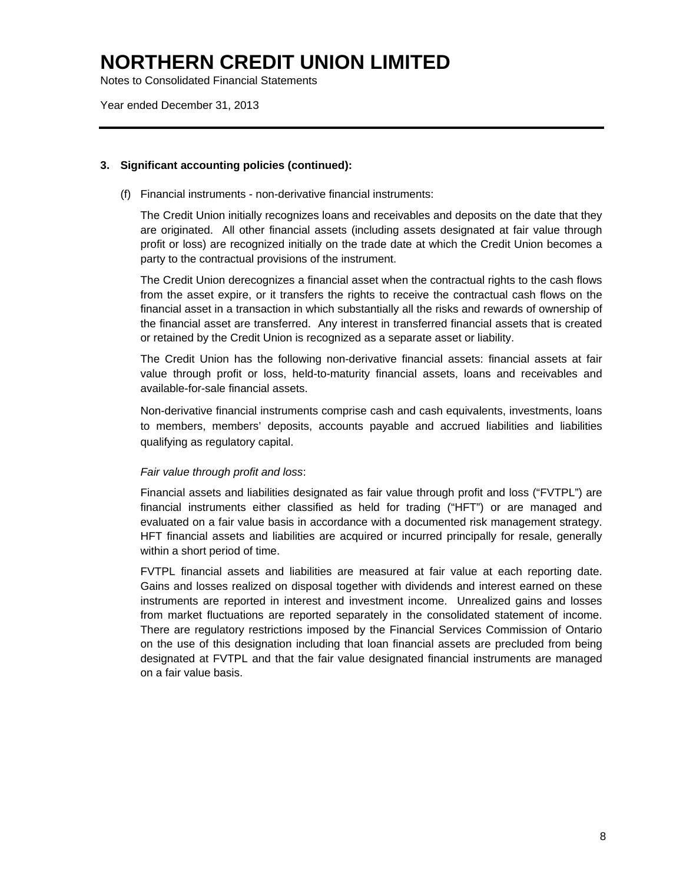Notes to Consolidated Financial Statements

Year ended December 31, 2013

### **3. Significant accounting policies (continued):**

(f) Financial instruments - non-derivative financial instruments:

 The Credit Union initially recognizes loans and receivables and deposits on the date that they are originated. All other financial assets (including assets designated at fair value through profit or loss) are recognized initially on the trade date at which the Credit Union becomes a party to the contractual provisions of the instrument.

The Credit Union derecognizes a financial asset when the contractual rights to the cash flows from the asset expire, or it transfers the rights to receive the contractual cash flows on the financial asset in a transaction in which substantially all the risks and rewards of ownership of the financial asset are transferred. Any interest in transferred financial assets that is created or retained by the Credit Union is recognized as a separate asset or liability.

The Credit Union has the following non-derivative financial assets: financial assets at fair value through profit or loss, held-to-maturity financial assets, loans and receivables and available-for-sale financial assets.

 Non-derivative financial instruments comprise cash and cash equivalents, investments, loans to members, members' deposits, accounts payable and accrued liabilities and liabilities qualifying as regulatory capital.

### *Fair value through profit and loss*:

 Financial assets and liabilities designated as fair value through profit and loss ("FVTPL") are financial instruments either classified as held for trading ("HFT") or are managed and evaluated on a fair value basis in accordance with a documented risk management strategy. HFT financial assets and liabilities are acquired or incurred principally for resale, generally within a short period of time.

 FVTPL financial assets and liabilities are measured at fair value at each reporting date. Gains and losses realized on disposal together with dividends and interest earned on these instruments are reported in interest and investment income. Unrealized gains and losses from market fluctuations are reported separately in the consolidated statement of income. There are regulatory restrictions imposed by the Financial Services Commission of Ontario on the use of this designation including that loan financial assets are precluded from being designated at FVTPL and that the fair value designated financial instruments are managed on a fair value basis.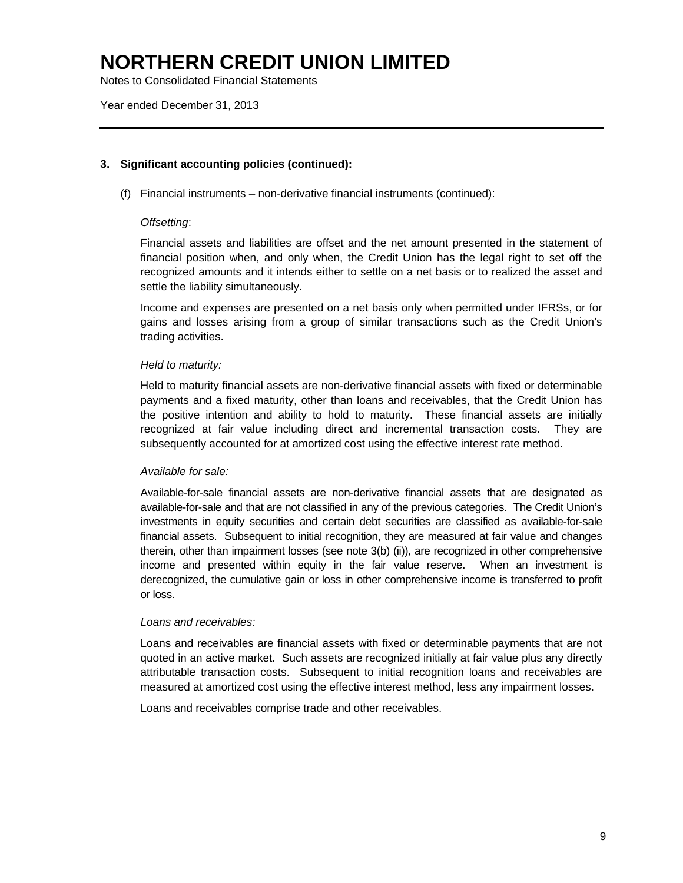Notes to Consolidated Financial Statements

Year ended December 31, 2013

### **3. Significant accounting policies (continued):**

(f) Financial instruments – non-derivative financial instruments (continued):

### *Offsetting*:

Financial assets and liabilities are offset and the net amount presented in the statement of financial position when, and only when, the Credit Union has the legal right to set off the recognized amounts and it intends either to settle on a net basis or to realized the asset and settle the liability simultaneously.

Income and expenses are presented on a net basis only when permitted under IFRSs, or for gains and losses arising from a group of similar transactions such as the Credit Union's trading activities.

### *Held to maturity:*

Held to maturity financial assets are non-derivative financial assets with fixed or determinable payments and a fixed maturity, other than loans and receivables, that the Credit Union has the positive intention and ability to hold to maturity. These financial assets are initially recognized at fair value including direct and incremental transaction costs. They are subsequently accounted for at amortized cost using the effective interest rate method.

### *Available for sale:*

 Available-for-sale financial assets are non-derivative financial assets that are designated as available-for-sale and that are not classified in any of the previous categories. The Credit Union's investments in equity securities and certain debt securities are classified as available-for-sale financial assets. Subsequent to initial recognition, they are measured at fair value and changes therein, other than impairment losses (see note 3(b) (ii)), are recognized in other comprehensive income and presented within equity in the fair value reserve. When an investment is derecognized, the cumulative gain or loss in other comprehensive income is transferred to profit or loss.

### *Loans and receivables:*

 Loans and receivables are financial assets with fixed or determinable payments that are not quoted in an active market. Such assets are recognized initially at fair value plus any directly attributable transaction costs. Subsequent to initial recognition loans and receivables are measured at amortized cost using the effective interest method, less any impairment losses.

Loans and receivables comprise trade and other receivables.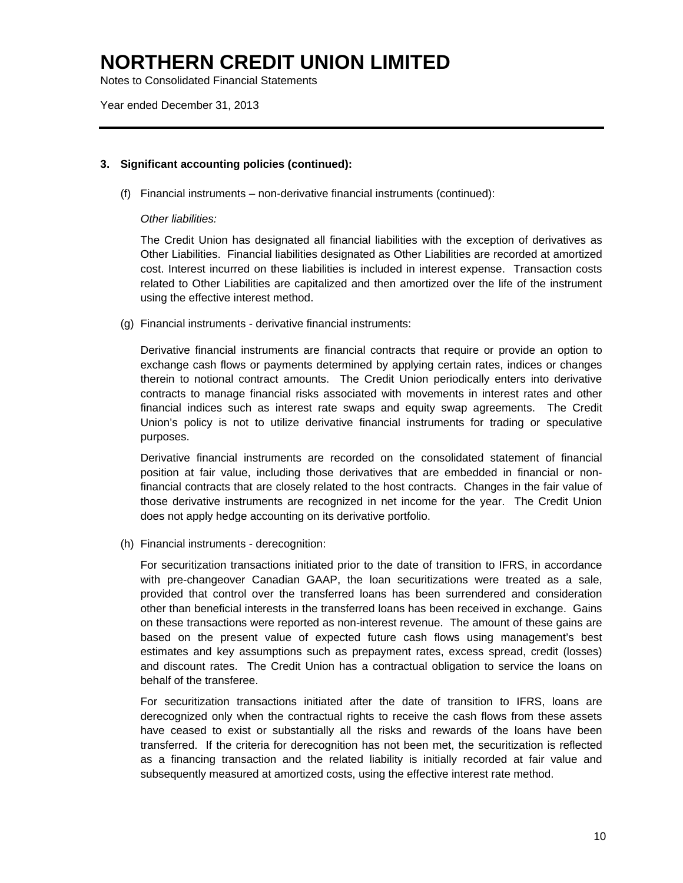Notes to Consolidated Financial Statements

Year ended December 31, 2013

### **3. Significant accounting policies (continued):**

(f) Financial instruments – non-derivative financial instruments (continued):

### *Other liabilities:*

 The Credit Union has designated all financial liabilities with the exception of derivatives as Other Liabilities. Financial liabilities designated as Other Liabilities are recorded at amortized cost. Interest incurred on these liabilities is included in interest expense. Transaction costs related to Other Liabilities are capitalized and then amortized over the life of the instrument using the effective interest method.

(g) Financial instruments - derivative financial instruments:

 Derivative financial instruments are financial contracts that require or provide an option to exchange cash flows or payments determined by applying certain rates, indices or changes therein to notional contract amounts. The Credit Union periodically enters into derivative contracts to manage financial risks associated with movements in interest rates and other financial indices such as interest rate swaps and equity swap agreements. The Credit Union's policy is not to utilize derivative financial instruments for trading or speculative purposes.

Derivative financial instruments are recorded on the consolidated statement of financial position at fair value, including those derivatives that are embedded in financial or nonfinancial contracts that are closely related to the host contracts. Changes in the fair value of those derivative instruments are recognized in net income for the year. The Credit Union does not apply hedge accounting on its derivative portfolio.

(h) Financial instruments - derecognition:

For securitization transactions initiated prior to the date of transition to IFRS, in accordance with pre-changeover Canadian GAAP, the loan securitizations were treated as a sale, provided that control over the transferred loans has been surrendered and consideration other than beneficial interests in the transferred loans has been received in exchange. Gains on these transactions were reported as non-interest revenue. The amount of these gains are based on the present value of expected future cash flows using management's best estimates and key assumptions such as prepayment rates, excess spread, credit (losses) and discount rates. The Credit Union has a contractual obligation to service the loans on behalf of the transferee.

For securitization transactions initiated after the date of transition to IFRS, loans are derecognized only when the contractual rights to receive the cash flows from these assets have ceased to exist or substantially all the risks and rewards of the loans have been transferred. If the criteria for derecognition has not been met, the securitization is reflected as a financing transaction and the related liability is initially recorded at fair value and subsequently measured at amortized costs, using the effective interest rate method.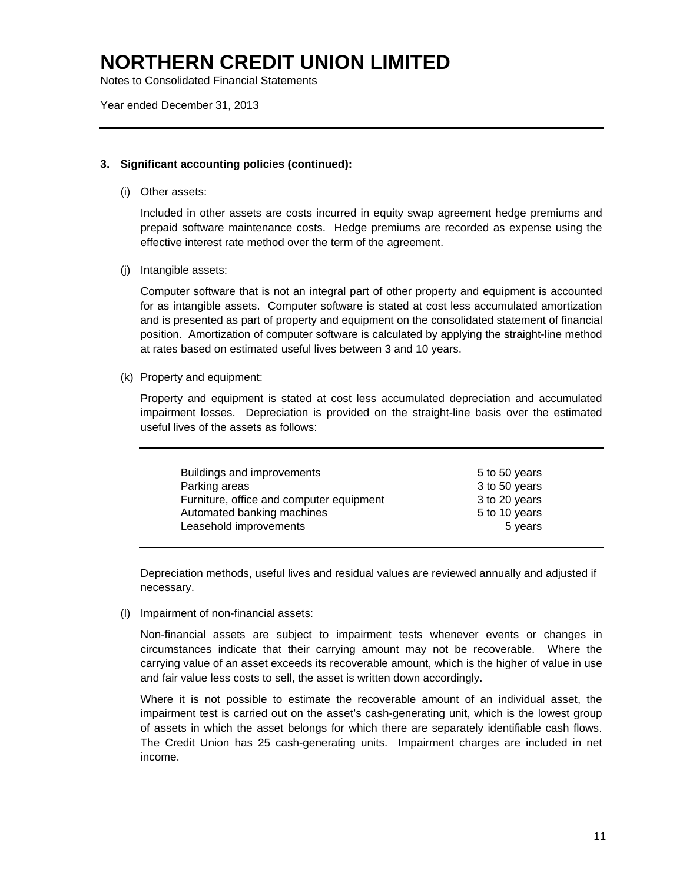Notes to Consolidated Financial Statements

Year ended December 31, 2013

### **3. Significant accounting policies (continued):**

(i) Other assets:

 Included in other assets are costs incurred in equity swap agreement hedge premiums and prepaid software maintenance costs. Hedge premiums are recorded as expense using the effective interest rate method over the term of the agreement.

(j) Intangible assets:

Computer software that is not an integral part of other property and equipment is accounted for as intangible assets. Computer software is stated at cost less accumulated amortization and is presented as part of property and equipment on the consolidated statement of financial position. Amortization of computer software is calculated by applying the straight-line method at rates based on estimated useful lives between 3 and 10 years.

(k) Property and equipment:

 Property and equipment is stated at cost less accumulated depreciation and accumulated impairment losses. Depreciation is provided on the straight-line basis over the estimated useful lives of the assets as follows:

| Buildings and improvements<br>Parking areas<br>Furniture, office and computer equipment<br>Automated banking machines<br>Leasehold improvements | 5 to 50 years<br>3 to 50 years<br>3 to 20 years<br>5 to 10 years<br>5 years |
|-------------------------------------------------------------------------------------------------------------------------------------------------|-----------------------------------------------------------------------------|
|                                                                                                                                                 |                                                                             |
|                                                                                                                                                 |                                                                             |

Depreciation methods, useful lives and residual values are reviewed annually and adjusted if necessary.

(l) Impairment of non-financial assets:

Non-financial assets are subject to impairment tests whenever events or changes in circumstances indicate that their carrying amount may not be recoverable. Where the carrying value of an asset exceeds its recoverable amount, which is the higher of value in use and fair value less costs to sell, the asset is written down accordingly.

Where it is not possible to estimate the recoverable amount of an individual asset, the impairment test is carried out on the asset's cash-generating unit, which is the lowest group of assets in which the asset belongs for which there are separately identifiable cash flows. The Credit Union has 25 cash-generating units. Impairment charges are included in net income.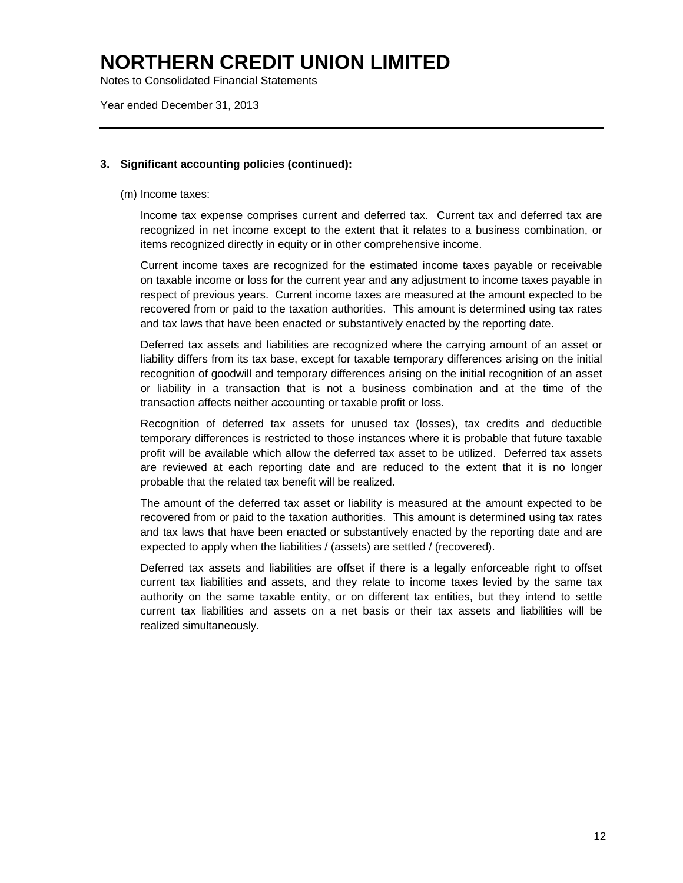Notes to Consolidated Financial Statements

Year ended December 31, 2013

### **3. Significant accounting policies (continued):**

(m) Income taxes:

 Income tax expense comprises current and deferred tax. Current tax and deferred tax are recognized in net income except to the extent that it relates to a business combination, or items recognized directly in equity or in other comprehensive income.

 Current income taxes are recognized for the estimated income taxes payable or receivable on taxable income or loss for the current year and any adjustment to income taxes payable in respect of previous years. Current income taxes are measured at the amount expected to be recovered from or paid to the taxation authorities. This amount is determined using tax rates and tax laws that have been enacted or substantively enacted by the reporting date.

 Deferred tax assets and liabilities are recognized where the carrying amount of an asset or liability differs from its tax base, except for taxable temporary differences arising on the initial recognition of goodwill and temporary differences arising on the initial recognition of an asset or liability in a transaction that is not a business combination and at the time of the transaction affects neither accounting or taxable profit or loss.

 Recognition of deferred tax assets for unused tax (losses), tax credits and deductible temporary differences is restricted to those instances where it is probable that future taxable profit will be available which allow the deferred tax asset to be utilized. Deferred tax assets are reviewed at each reporting date and are reduced to the extent that it is no longer probable that the related tax benefit will be realized.

 The amount of the deferred tax asset or liability is measured at the amount expected to be recovered from or paid to the taxation authorities. This amount is determined using tax rates and tax laws that have been enacted or substantively enacted by the reporting date and are expected to apply when the liabilities / (assets) are settled / (recovered).

Deferred tax assets and liabilities are offset if there is a legally enforceable right to offset current tax liabilities and assets, and they relate to income taxes levied by the same tax authority on the same taxable entity, or on different tax entities, but they intend to settle current tax liabilities and assets on a net basis or their tax assets and liabilities will be realized simultaneously.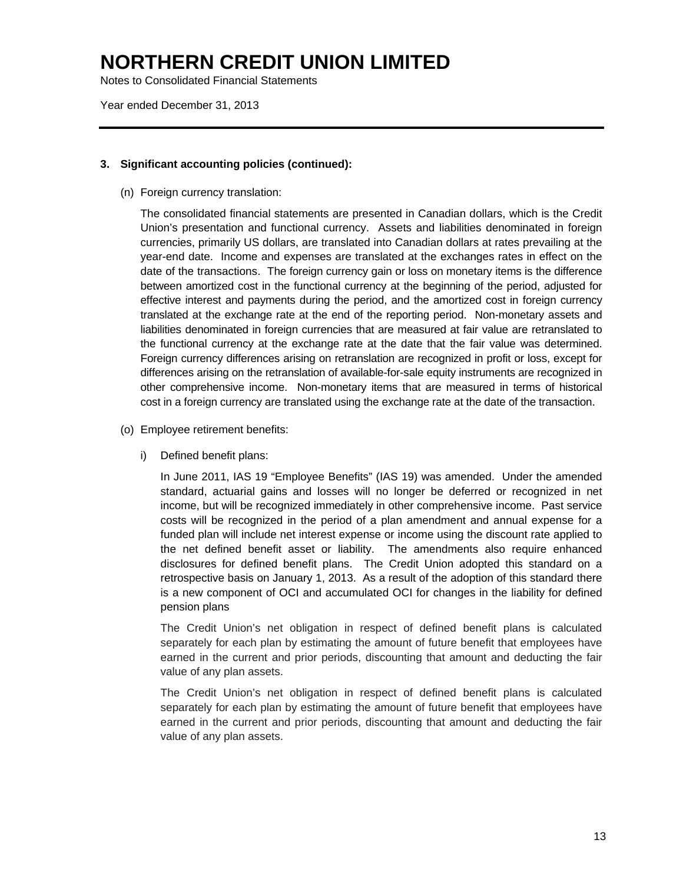Notes to Consolidated Financial Statements

Year ended December 31, 2013

### **3. Significant accounting policies (continued):**

(n) Foreign currency translation:

 The consolidated financial statements are presented in Canadian dollars, which is the Credit Union's presentation and functional currency. Assets and liabilities denominated in foreign currencies, primarily US dollars, are translated into Canadian dollars at rates prevailing at the year-end date. Income and expenses are translated at the exchanges rates in effect on the date of the transactions. The foreign currency gain or loss on monetary items is the difference between amortized cost in the functional currency at the beginning of the period, adjusted for effective interest and payments during the period, and the amortized cost in foreign currency translated at the exchange rate at the end of the reporting period. Non-monetary assets and liabilities denominated in foreign currencies that are measured at fair value are retranslated to the functional currency at the exchange rate at the date that the fair value was determined. Foreign currency differences arising on retranslation are recognized in profit or loss, except for differences arising on the retranslation of available-for-sale equity instruments are recognized in other comprehensive income. Non-monetary items that are measured in terms of historical cost in a foreign currency are translated using the exchange rate at the date of the transaction.

- (o) Employee retirement benefits:
	- i) Defined benefit plans:

In June 2011, IAS 19 "Employee Benefits" (IAS 19) was amended. Under the amended standard, actuarial gains and losses will no longer be deferred or recognized in net income, but will be recognized immediately in other comprehensive income. Past service costs will be recognized in the period of a plan amendment and annual expense for a funded plan will include net interest expense or income using the discount rate applied to the net defined benefit asset or liability. The amendments also require enhanced disclosures for defined benefit plans. The Credit Union adopted this standard on a retrospective basis on January 1, 2013. As a result of the adoption of this standard there is a new component of OCI and accumulated OCI for changes in the liability for defined pension plans

The Credit Union's net obligation in respect of defined benefit plans is calculated separately for each plan by estimating the amount of future benefit that employees have earned in the current and prior periods, discounting that amount and deducting the fair value of any plan assets.

The Credit Union's net obligation in respect of defined benefit plans is calculated separately for each plan by estimating the amount of future benefit that employees have earned in the current and prior periods, discounting that amount and deducting the fair value of any plan assets.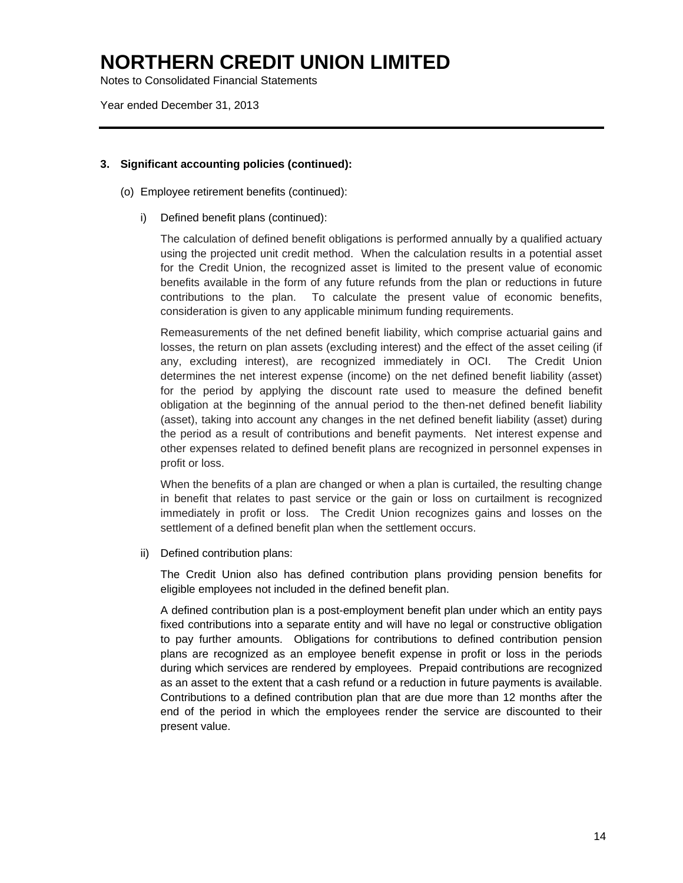Notes to Consolidated Financial Statements

Year ended December 31, 2013

### **3. Significant accounting policies (continued):**

- (o) Employee retirement benefits (continued):
	- i) Defined benefit plans (continued):

The calculation of defined benefit obligations is performed annually by a qualified actuary using the projected unit credit method. When the calculation results in a potential asset for the Credit Union, the recognized asset is limited to the present value of economic benefits available in the form of any future refunds from the plan or reductions in future contributions to the plan. To calculate the present value of economic benefits, consideration is given to any applicable minimum funding requirements.

Remeasurements of the net defined benefit liability, which comprise actuarial gains and losses, the return on plan assets (excluding interest) and the effect of the asset ceiling (if any, excluding interest), are recognized immediately in OCI. The Credit Union determines the net interest expense (income) on the net defined benefit liability (asset) for the period by applying the discount rate used to measure the defined benefit obligation at the beginning of the annual period to the then-net defined benefit liability (asset), taking into account any changes in the net defined benefit liability (asset) during the period as a result of contributions and benefit payments. Net interest expense and other expenses related to defined benefit plans are recognized in personnel expenses in profit or loss.

When the benefits of a plan are changed or when a plan is curtailed, the resulting change in benefit that relates to past service or the gain or loss on curtailment is recognized immediately in profit or loss. The Credit Union recognizes gains and losses on the settlement of a defined benefit plan when the settlement occurs.

ii) Defined contribution plans:

The Credit Union also has defined contribution plans providing pension benefits for eligible employees not included in the defined benefit plan.

A defined contribution plan is a post-employment benefit plan under which an entity pays fixed contributions into a separate entity and will have no legal or constructive obligation to pay further amounts. Obligations for contributions to defined contribution pension plans are recognized as an employee benefit expense in profit or loss in the periods during which services are rendered by employees. Prepaid contributions are recognized as an asset to the extent that a cash refund or a reduction in future payments is available. Contributions to a defined contribution plan that are due more than 12 months after the end of the period in which the employees render the service are discounted to their present value.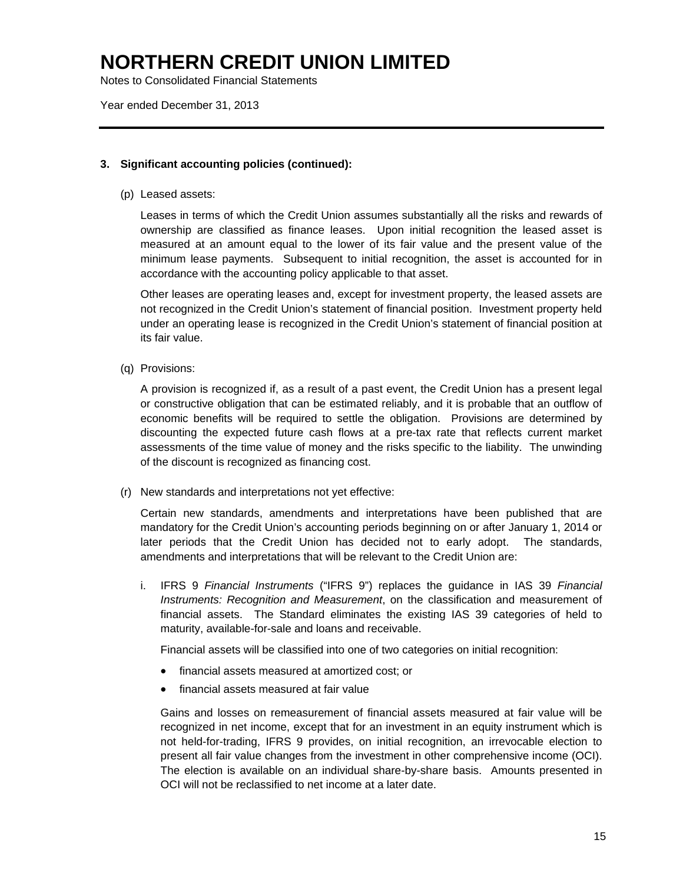Notes to Consolidated Financial Statements

Year ended December 31, 2013

### **3. Significant accounting policies (continued):**

(p) Leased assets:

 Leases in terms of which the Credit Union assumes substantially all the risks and rewards of ownership are classified as finance leases. Upon initial recognition the leased asset is measured at an amount equal to the lower of its fair value and the present value of the minimum lease payments. Subsequent to initial recognition, the asset is accounted for in accordance with the accounting policy applicable to that asset.

 Other leases are operating leases and, except for investment property, the leased assets are not recognized in the Credit Union's statement of financial position. Investment property held under an operating lease is recognized in the Credit Union's statement of financial position at its fair value.

(q) Provisions:

A provision is recognized if, as a result of a past event, the Credit Union has a present legal or constructive obligation that can be estimated reliably, and it is probable that an outflow of economic benefits will be required to settle the obligation. Provisions are determined by discounting the expected future cash flows at a pre-tax rate that reflects current market assessments of the time value of money and the risks specific to the liability. The unwinding of the discount is recognized as financing cost.

(r) New standards and interpretations not yet effective:

Certain new standards, amendments and interpretations have been published that are mandatory for the Credit Union's accounting periods beginning on or after January 1, 2014 or later periods that the Credit Union has decided not to early adopt. The standards, amendments and interpretations that will be relevant to the Credit Union are:

i. IFRS 9 *Financial Instruments* ("IFRS 9") replaces the guidance in IAS 39 *Financial Instruments: Recognition and Measurement*, on the classification and measurement of financial assets. The Standard eliminates the existing IAS 39 categories of held to maturity, available-for-sale and loans and receivable.

Financial assets will be classified into one of two categories on initial recognition:

- financial assets measured at amortized cost; or
- financial assets measured at fair value

Gains and losses on remeasurement of financial assets measured at fair value will be recognized in net income, except that for an investment in an equity instrument which is not held-for-trading, IFRS 9 provides, on initial recognition, an irrevocable election to present all fair value changes from the investment in other comprehensive income (OCI). The election is available on an individual share-by-share basis. Amounts presented in OCI will not be reclassified to net income at a later date.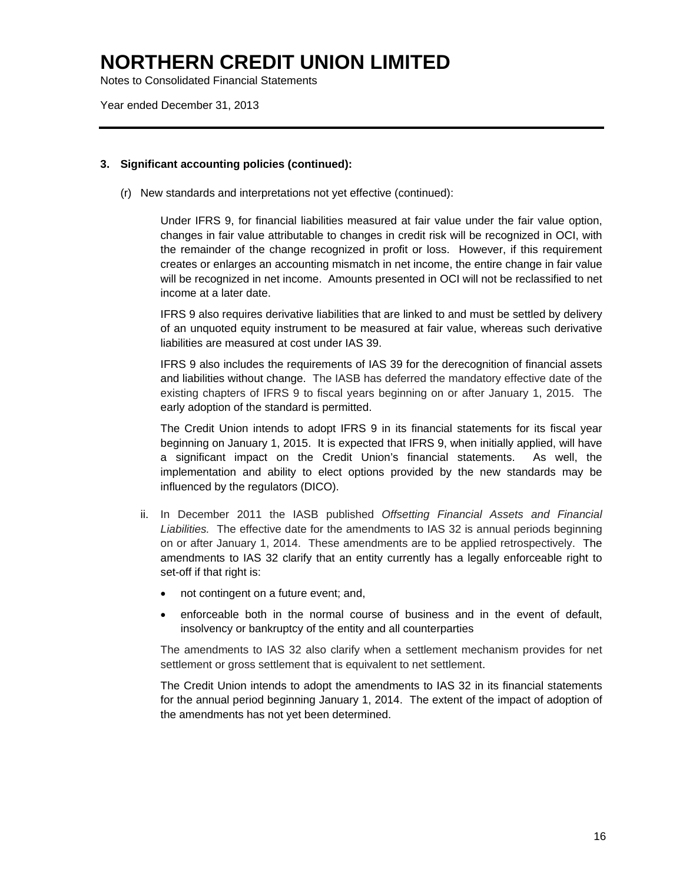Notes to Consolidated Financial Statements

Year ended December 31, 2013

### **3. Significant accounting policies (continued):**

(r) New standards and interpretations not yet effective (continued):

Under IFRS 9, for financial liabilities measured at fair value under the fair value option, changes in fair value attributable to changes in credit risk will be recognized in OCI, with the remainder of the change recognized in profit or loss. However, if this requirement creates or enlarges an accounting mismatch in net income, the entire change in fair value will be recognized in net income. Amounts presented in OCI will not be reclassified to net income at a later date.

IFRS 9 also requires derivative liabilities that are linked to and must be settled by delivery of an unquoted equity instrument to be measured at fair value, whereas such derivative liabilities are measured at cost under IAS 39.

IFRS 9 also includes the requirements of IAS 39 for the derecognition of financial assets and liabilities without change. The IASB has deferred the mandatory effective date of the existing chapters of IFRS 9 to fiscal years beginning on or after January 1, 2015. The early adoption of the standard is permitted.

The Credit Union intends to adopt IFRS 9 in its financial statements for its fiscal year beginning on January 1, 2015. It is expected that IFRS 9, when initially applied, will have a significant impact on the Credit Union's financial statements. As well, the implementation and ability to elect options provided by the new standards may be influenced by the regulators (DICO).

- ii. In December 2011 the IASB published *Offsetting Financial Assets and Financial Liabilities.* The effective date for the amendments to IAS 32 is annual periods beginning on or after January 1, 2014. These amendments are to be applied retrospectively. The amendments to IAS 32 clarify that an entity currently has a legally enforceable right to set-off if that right is:
	- not contingent on a future event; and,
	- enforceable both in the normal course of business and in the event of default, insolvency or bankruptcy of the entity and all counterparties

The amendments to IAS 32 also clarify when a settlement mechanism provides for net settlement or gross settlement that is equivalent to net settlement.

The Credit Union intends to adopt the amendments to IAS 32 in its financial statements for the annual period beginning January 1, 2014. The extent of the impact of adoption of the amendments has not yet been determined.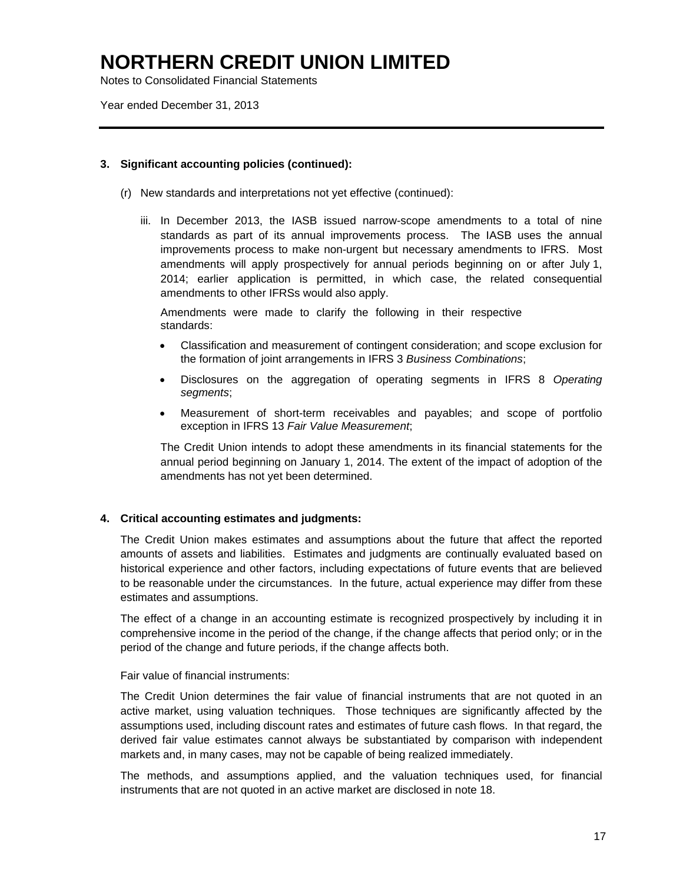Notes to Consolidated Financial Statements

Year ended December 31, 2013

### **3. Significant accounting policies (continued):**

- (r) New standards and interpretations not yet effective (continued):
	- iii. In December 2013, the IASB issued narrow-scope amendments to a total of nine standards as part of its annual improvements process. The IASB uses the annual improvements process to make non-urgent but necessary amendments to IFRS. Most amendments will apply prospectively for annual periods beginning on or after July 1, 2014; earlier application is permitted, in which case, the related consequential amendments to other IFRSs would also apply.

Amendments were made to clarify the following in their respective standards:

- Classification and measurement of contingent consideration; and scope exclusion for the formation of joint arrangements in IFRS 3 *Business Combinations*;
- Disclosures on the aggregation of operating segments in IFRS 8 *Operating segments*;
- Measurement of short-term receivables and payables; and scope of portfolio exception in IFRS 13 *Fair Value Measurement*;

The Credit Union intends to adopt these amendments in its financial statements for the annual period beginning on January 1, 2014. The extent of the impact of adoption of the amendments has not yet been determined.

### **4. Critical accounting estimates and judgments:**

The Credit Union makes estimates and assumptions about the future that affect the reported amounts of assets and liabilities. Estimates and judgments are continually evaluated based on historical experience and other factors, including expectations of future events that are believed to be reasonable under the circumstances. In the future, actual experience may differ from these estimates and assumptions.

The effect of a change in an accounting estimate is recognized prospectively by including it in comprehensive income in the period of the change, if the change affects that period only; or in the period of the change and future periods, if the change affects both.

Fair value of financial instruments:

The Credit Union determines the fair value of financial instruments that are not quoted in an active market, using valuation techniques. Those techniques are significantly affected by the assumptions used, including discount rates and estimates of future cash flows. In that regard, the derived fair value estimates cannot always be substantiated by comparison with independent markets and, in many cases, may not be capable of being realized immediately.

The methods, and assumptions applied, and the valuation techniques used, for financial instruments that are not quoted in an active market are disclosed in note 18.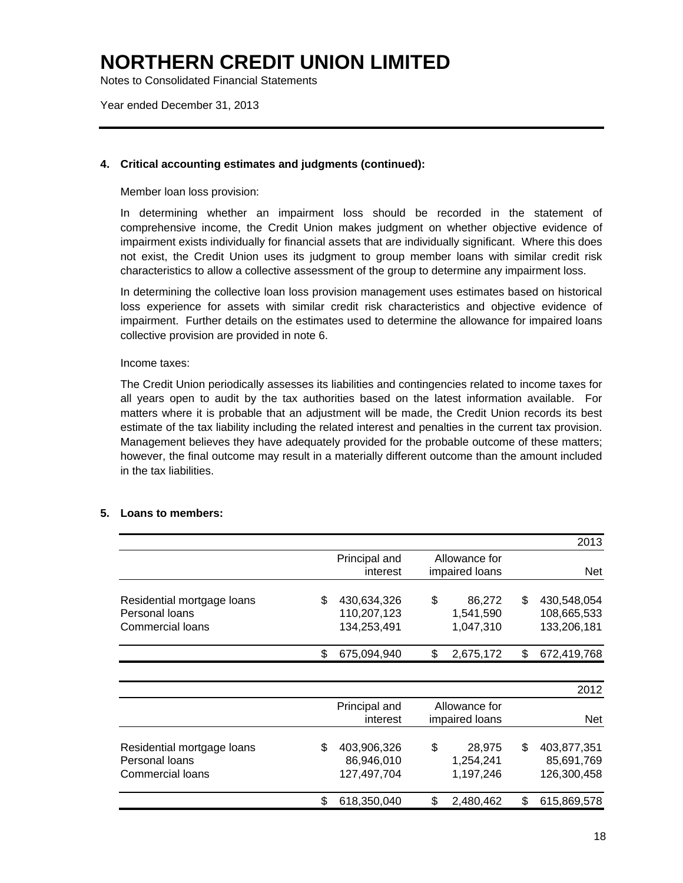Notes to Consolidated Financial Statements

Year ended December 31, 2013

### **4. Critical accounting estimates and judgments (continued):**

Member loan loss provision:

In determining whether an impairment loss should be recorded in the statement of comprehensive income, the Credit Union makes judgment on whether objective evidence of impairment exists individually for financial assets that are individually significant. Where this does not exist, the Credit Union uses its judgment to group member loans with similar credit risk characteristics to allow a collective assessment of the group to determine any impairment loss.

In determining the collective loan loss provision management uses estimates based on historical loss experience for assets with similar credit risk characteristics and objective evidence of impairment. Further details on the estimates used to determine the allowance for impaired loans collective provision are provided in note 6.

### Income taxes:

The Credit Union periodically assesses its liabilities and contingencies related to income taxes for all years open to audit by the tax authorities based on the latest information available. For matters where it is probable that an adjustment will be made, the Credit Union records its best estimate of the tax liability including the related interest and penalties in the current tax provision. Management believes they have adequately provided for the probable outcome of these matters; however, the final outcome may result in a materially different outcome than the amount included in the tax liabilities.

### **5. Loans to members:**

|                                                                  |     |                                           |                                 |                                  | 2013                                            |
|------------------------------------------------------------------|-----|-------------------------------------------|---------------------------------|----------------------------------|-------------------------------------------------|
|                                                                  |     | Principal and<br>interest                 | Allowance for<br>impaired loans |                                  | <b>Net</b>                                      |
| Residential mortgage loans<br>Personal loans<br>Commercial loans |     | 430,634,326<br>110,207,123<br>134,253,491 | \$                              | 86,272<br>1,541,590<br>1,047,310 | \$<br>430,548,054<br>108,665,533<br>133,206,181 |
|                                                                  | \$. | 675,094,940                               | \$.                             | 2,675,172                        | \$<br>672,419,768                               |
|                                                                  |     |                                           |                                 |                                  | 2012                                            |
|                                                                  |     | Principal and<br>interest                 |                                 | Allowance for<br>impaired loans  | <b>Net</b>                                      |
| Residential mortgage loans<br>Personal loans<br>Commercial loans | \$  | 403,906,326<br>86,946,010<br>127,497,704  | \$                              | 28,975<br>1,254,241<br>1,197,246 | \$<br>403,877,351<br>85,691,769<br>126,300,458  |
|                                                                  | S   | 618,350,040                               | \$                              | 2,480,462                        | \$<br>615,869,578                               |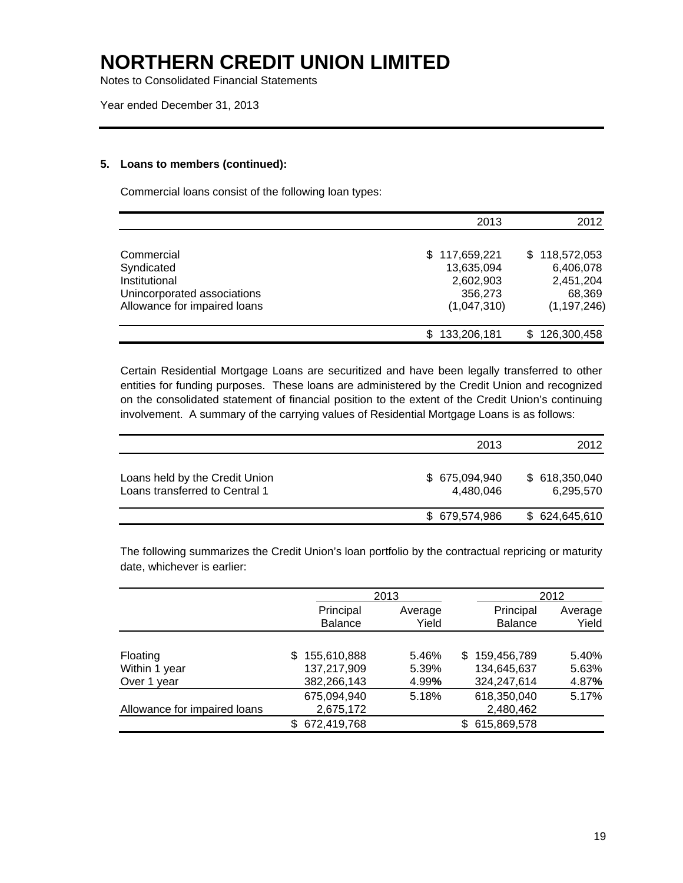Notes to Consolidated Financial Statements

### **5. Loans to members (continued):**

Commercial loans consist of the following loan types:

|                              | 2013          | 2012          |
|------------------------------|---------------|---------------|
|                              |               |               |
| Commercial                   | \$117,659,221 | \$118,572,053 |
| Syndicated                   | 13,635,094    | 6,406,078     |
| Institutional                | 2,602,903     | 2,451,204     |
| Unincorporated associations  | 356,273       | 68,369        |
| Allowance for impaired loans | (1,047,310)   | (1, 197, 246) |
|                              | 133,206,181   | 126,300,458   |

Certain Residential Mortgage Loans are securitized and have been legally transferred to other entities for funding purposes. These loans are administered by the Credit Union and recognized on the consolidated statement of financial position to the extent of the Credit Union's continuing involvement. A summary of the carrying values of Residential Mortgage Loans is as follows:

|                                                                  | 2013                        | 2012                       |
|------------------------------------------------------------------|-----------------------------|----------------------------|
| Loans held by the Credit Union<br>Loans transferred to Central 1 | \$ 675,094,940<br>4.480.046 | \$618,350,040<br>6,295,570 |
|                                                                  | \$679,574,986               | \$ 624,645,610             |

The following summarizes the Credit Union's loan portfolio by the contractual repricing or maturity date, whichever is earlier:

|                              |                   | 2013    |   |                | 2012    |
|------------------------------|-------------------|---------|---|----------------|---------|
|                              | Principal         | Average |   | Principal      | Average |
|                              | <b>Balance</b>    | Yield   |   | <b>Balance</b> | Yield   |
|                              |                   |         |   |                |         |
| Floating                     | 155,610,888<br>S. | 5.46%   |   | \$159,456,789  | 5.40%   |
| Within 1 year                | 137,217,909       | 5.39%   |   | 134,645,637    | 5.63%   |
| Over 1 year                  | 382,266,143       | 4.99%   |   | 324,247,614    | 4.87%   |
|                              | 675,094,940       | 5.18%   |   | 618,350,040    | 5.17%   |
| Allowance for impaired loans | 2,675,172         |         |   | 2,480,462      |         |
|                              | 672,419,768       |         | S | 615,869,578    |         |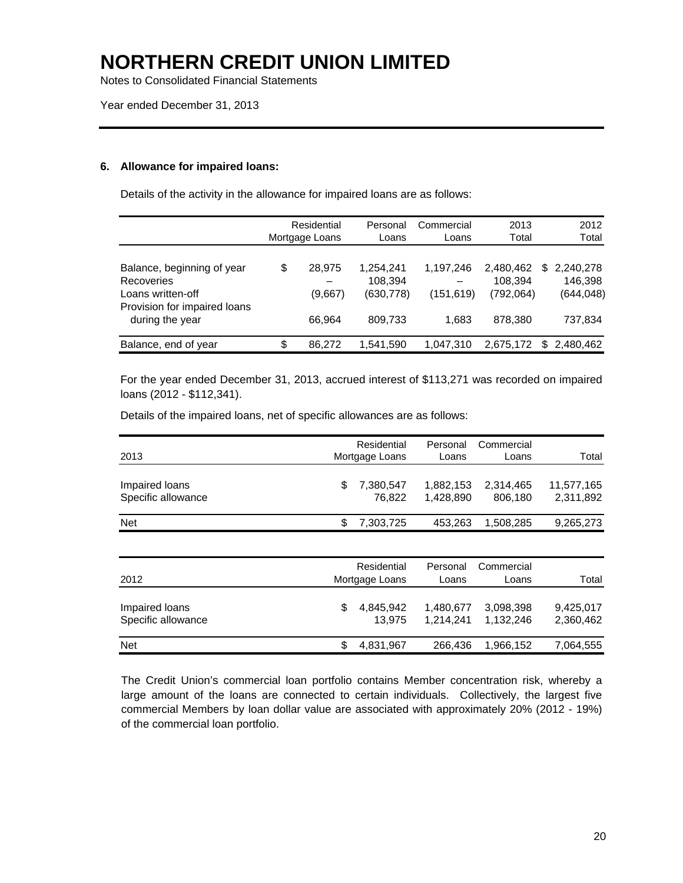Notes to Consolidated Financial Statements

Year ended December 31, 2013

### **6. Allowance for impaired loans:**

Details of the activity in the allowance for impaired loans are as follows:

|                              | Residential<br>Mortgage Loans | Personal<br>Loans | Commercial<br>Loans | 2013<br>Total | 2012<br>Total   |
|------------------------------|-------------------------------|-------------------|---------------------|---------------|-----------------|
|                              |                               |                   |                     |               |                 |
| Balance, beginning of year   | \$<br>28.975                  | 1,254,241         | 1,197,246           | 2,480,462     | \$<br>2,240,278 |
| <b>Recoveries</b>            |                               | 108.394           |                     | 108,394       | 146.398         |
| Loans written-off            | (9.667)                       | (630,778)         | (151, 619)          | (792,064)     | (644, 048)      |
| Provision for impaired loans |                               |                   |                     |               |                 |
| during the year              | 66,964                        | 809,733           | 1.683               | 878,380       | 737,834         |
|                              |                               |                   |                     |               |                 |
| Balance, end of year         | \$<br>86.272                  | 1,541,590         | 1,047,310           | 2,675,172     | \$<br>2.480.462 |

For the year ended December 31, 2013, accrued interest of \$113,271 was recorded on impaired loans (2012 - \$112,341).

Details of the impaired loans, net of specific allowances are as follows:

| 2013                                 | Residential<br>Mortgage Loans | Personal<br>Loans      | Commercial<br>Loans    | Total                   |
|--------------------------------------|-------------------------------|------------------------|------------------------|-------------------------|
| Impaired loans<br>Specific allowance | \$<br>7,380,547<br>76,822     | 1,882,153<br>1,428,890 | 2,314,465<br>806,180   | 11,577,165<br>2,311,892 |
| <b>Net</b>                           | \$<br>7,303,725               | 453.263                | 1,508,285              | 9,265,273               |
|                                      |                               |                        |                        |                         |
| 2012                                 | Residential<br>Mortgage Loans | Personal<br>Loans      | Commercial<br>Loans    | Total                   |
| Impaired loans<br>Specific allowance | \$<br>4,845,942<br>13.975     | 1,480,677<br>1.214.241 | 3,098,398<br>1.132.246 | 9,425,017<br>2,360,462  |
| Net                                  | \$<br>4,831,967               | 266,436                | 1,966,152              | 7,064,555               |

 The Credit Union's commercial loan portfolio contains Member concentration risk, whereby a large amount of the loans are connected to certain individuals. Collectively, the largest five commercial Members by loan dollar value are associated with approximately 20% (2012 - 19%) of the commercial loan portfolio.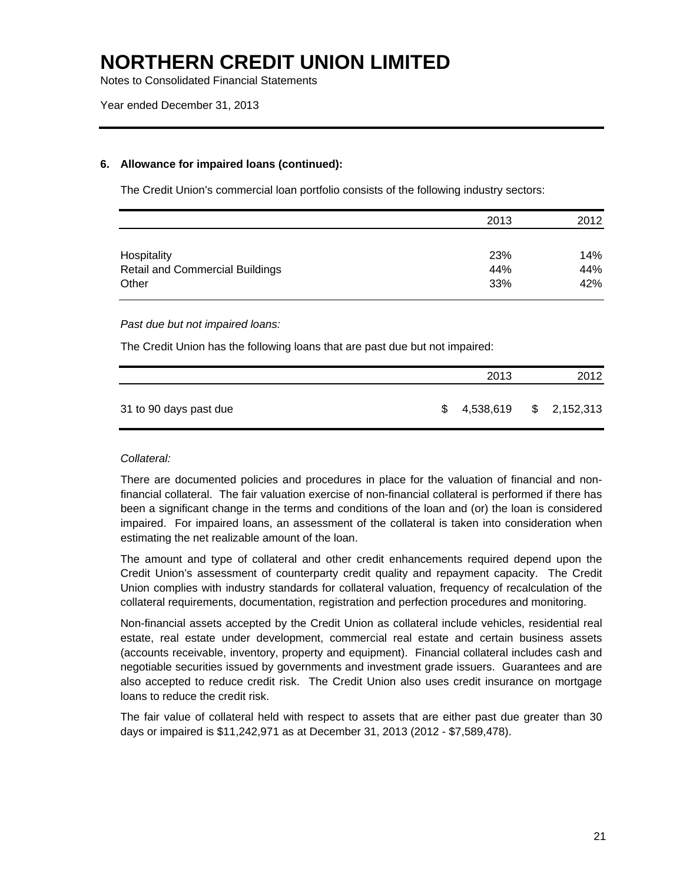Notes to Consolidated Financial Statements

### **6. Allowance for impaired loans (continued):**

The Credit Union's commercial loan portfolio consists of the following industry sectors:

|                                        | 2013 | 2012 |
|----------------------------------------|------|------|
|                                        |      |      |
| Hospitality                            | 23%  | 14%  |
| <b>Retail and Commercial Buildings</b> | 44%  | 44%  |
| Other                                  | 33%  | 42%  |

### *Past due but not impaired loans:*

The Credit Union has the following loans that are past due but not impaired:

|                        |    | 2013      | 2012        |
|------------------------|----|-----------|-------------|
| 31 to 90 days past due | S. | 4,538,619 | \$2,152,313 |

### *Collateral:*

There are documented policies and procedures in place for the valuation of financial and nonfinancial collateral. The fair valuation exercise of non-financial collateral is performed if there has been a significant change in the terms and conditions of the loan and (or) the loan is considered impaired. For impaired loans, an assessment of the collateral is taken into consideration when estimating the net realizable amount of the loan.

The amount and type of collateral and other credit enhancements required depend upon the Credit Union's assessment of counterparty credit quality and repayment capacity. The Credit Union complies with industry standards for collateral valuation, frequency of recalculation of the collateral requirements, documentation, registration and perfection procedures and monitoring.

Non-financial assets accepted by the Credit Union as collateral include vehicles, residential real estate, real estate under development, commercial real estate and certain business assets (accounts receivable, inventory, property and equipment). Financial collateral includes cash and negotiable securities issued by governments and investment grade issuers. Guarantees and are also accepted to reduce credit risk. The Credit Union also uses credit insurance on mortgage loans to reduce the credit risk.

The fair value of collateral held with respect to assets that are either past due greater than 30 days or impaired is \$11,242,971 as at December 31, 2013 (2012 - \$7,589,478).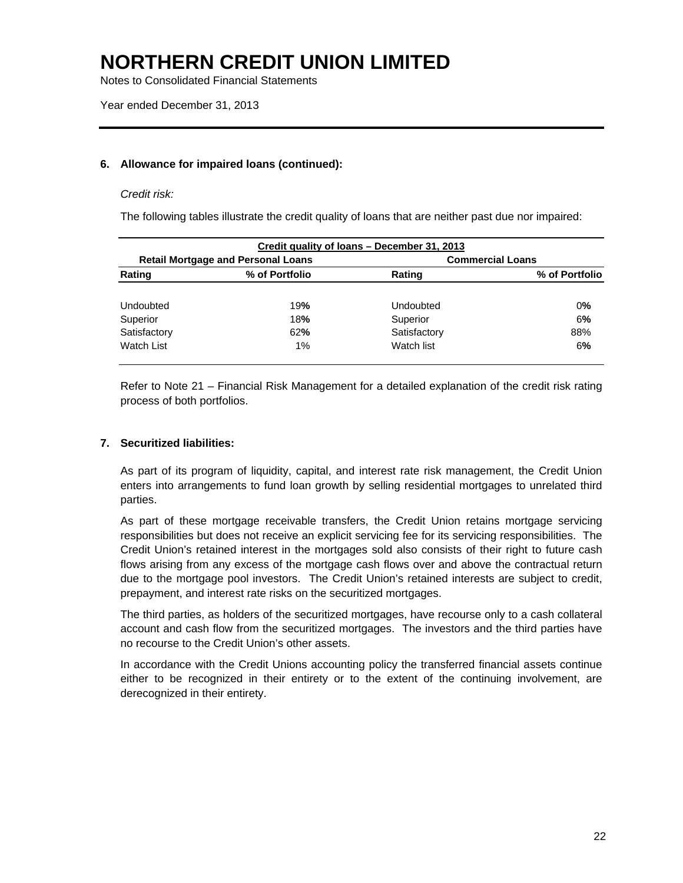Notes to Consolidated Financial Statements

### **6. Allowance for impaired loans (continued):**

### *Credit risk:*

The following tables illustrate the credit quality of loans that are neither past due nor impaired:

|              |                                           | Credit quality of loans - December 31, 2013 |                         |
|--------------|-------------------------------------------|---------------------------------------------|-------------------------|
|              | <b>Retail Mortgage and Personal Loans</b> |                                             | <b>Commercial Loans</b> |
| Rating       | % of Portfolio                            | Rating                                      | % of Portfolio          |
|              |                                           |                                             |                         |
| Undoubted    | 19%                                       | Undoubted                                   | 0%                      |
| Superior     | 18%                                       | Superior                                    | 6%                      |
| Satisfactory | 62%                                       | Satisfactory                                | 88%                     |
| Watch List   | $1\%$                                     | Watch list                                  | 6%                      |
|              |                                           |                                             |                         |

Refer to Note 21 – Financial Risk Management for a detailed explanation of the credit risk rating process of both portfolios.

### **7. Securitized liabilities:**

 As part of its program of liquidity, capital, and interest rate risk management, the Credit Union enters into arrangements to fund loan growth by selling residential mortgages to unrelated third parties.

 As part of these mortgage receivable transfers, the Credit Union retains mortgage servicing responsibilities but does not receive an explicit servicing fee for its servicing responsibilities. The Credit Union's retained interest in the mortgages sold also consists of their right to future cash flows arising from any excess of the mortgage cash flows over and above the contractual return due to the mortgage pool investors. The Credit Union's retained interests are subject to credit, prepayment, and interest rate risks on the securitized mortgages.

 The third parties, as holders of the securitized mortgages, have recourse only to a cash collateral account and cash flow from the securitized mortgages. The investors and the third parties have no recourse to the Credit Union's other assets.

In accordance with the Credit Unions accounting policy the transferred financial assets continue either to be recognized in their entirety or to the extent of the continuing involvement, are derecognized in their entirety.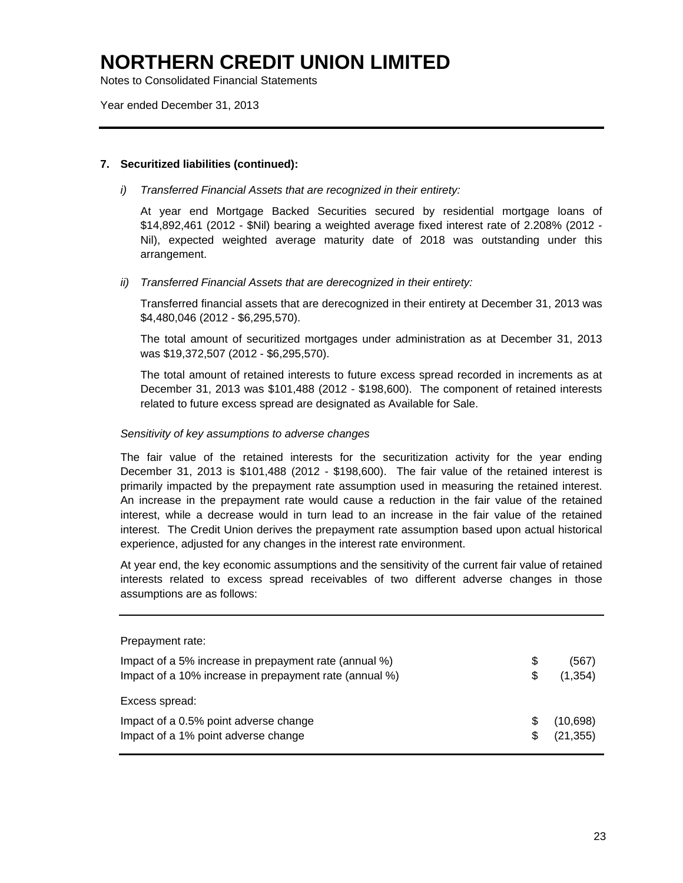Notes to Consolidated Financial Statements

Year ended December 31, 2013

### **7. Securitized liabilities (continued):**

*i) Transferred Financial Assets that are recognized in their entirety:* 

At year end Mortgage Backed Securities secured by residential mortgage loans of \$14,892,461 (2012 - \$Nil) bearing a weighted average fixed interest rate of 2.208% (2012 - Nil), expected weighted average maturity date of 2018 was outstanding under this arrangement.

### *ii) Transferred Financial Assets that are derecognized in their entirety:*

Transferred financial assets that are derecognized in their entirety at December 31, 2013 was \$4,480,046 (2012 - \$6,295,570).

The total amount of securitized mortgages under administration as at December 31, 2013 was \$19,372,507 (2012 - \$6,295,570).

The total amount of retained interests to future excess spread recorded in increments as at December 31, 2013 was \$101,488 (2012 - \$198,600). The component of retained interests related to future excess spread are designated as Available for Sale.

### *Sensitivity of key assumptions to adverse changes*

The fair value of the retained interests for the securitization activity for the year ending December 31, 2013 is \$101,488 (2012 - \$198,600). The fair value of the retained interest is primarily impacted by the prepayment rate assumption used in measuring the retained interest. An increase in the prepayment rate would cause a reduction in the fair value of the retained interest, while a decrease would in turn lead to an increase in the fair value of the retained interest. The Credit Union derives the prepayment rate assumption based upon actual historical experience, adjusted for any changes in the interest rate environment.

At year end, the key economic assumptions and the sensitivity of the current fair value of retained interests related to excess spread receivables of two different adverse changes in those assumptions are as follows:

| Prepayment rate:                                       |     |           |
|--------------------------------------------------------|-----|-----------|
| Impact of a 5% increase in prepayment rate (annual %)  | \$  | (567)     |
| Impact of a 10% increase in prepayment rate (annual %) | S   | (1, 354)  |
| Excess spread:                                         |     |           |
| Impact of a 0.5% point adverse change                  | \$. | (10,698)  |
| Impact of a 1% point adverse change                    | \$  | (21, 355) |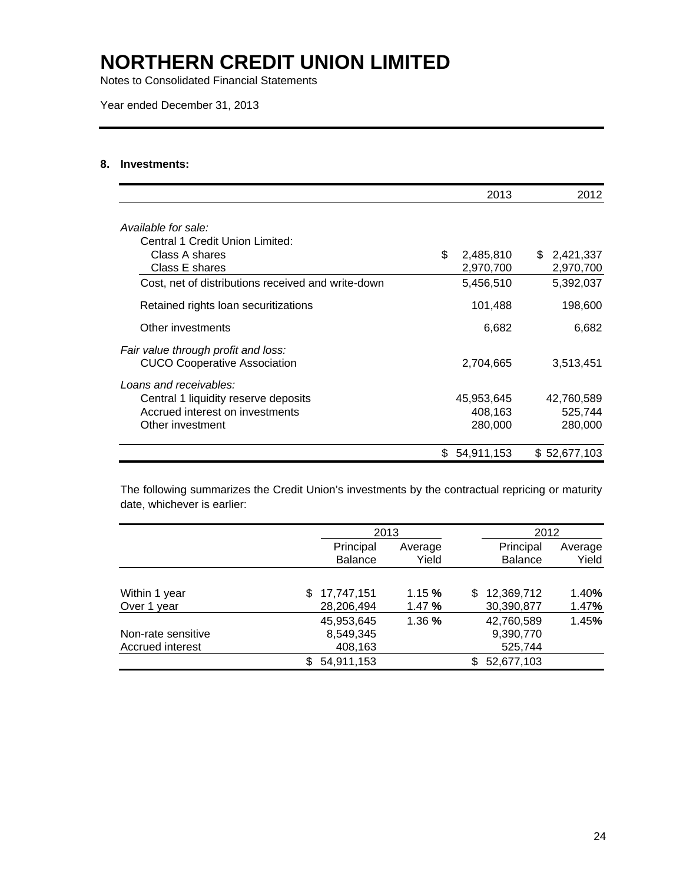Notes to Consolidated Financial Statements

Year ended December 31, 2013

### **8. Investments:**

|                                                                            |     | 2013       | 2012         |
|----------------------------------------------------------------------------|-----|------------|--------------|
| Available for sale:                                                        |     |            |              |
| Central 1 Credit Union Limited:                                            |     |            |              |
| Class A shares                                                             | \$  | 2,485,810  | \$2,421,337  |
| Class E shares                                                             |     | 2,970,700  | 2,970,700    |
| Cost, net of distributions received and write-down                         |     | 5,456,510  | 5,392,037    |
| Retained rights loan securitizations                                       |     | 101,488    | 198,600      |
| Other investments                                                          |     | 6,682      | 6,682        |
| Fair value through profit and loss:<br><b>CUCO Cooperative Association</b> |     | 2,704,665  | 3,513,451    |
| Loans and receivables:                                                     |     |            |              |
| Central 1 liquidity reserve deposits                                       |     | 45,953,645 | 42,760,589   |
| Accrued interest on investments                                            |     | 408,163    | 525,744      |
| Other investment                                                           |     | 280,000    | 280,000      |
|                                                                            | \$. | 54,911,153 | \$52,677,103 |

The following summarizes the Credit Union's investments by the contractual repricing or maturity date, whichever is earlier:

|                    |                   | 2013    | 2012              |         |
|--------------------|-------------------|---------|-------------------|---------|
|                    | Principal         | Average | Principal         | Average |
|                    | <b>Balance</b>    | Yield   | <b>Balance</b>    | Yield   |
|                    |                   |         |                   |         |
| Within 1 year      | 17,747,151<br>\$. | 1.15%   | 12,369,712<br>\$. | 1.40%   |
| Over 1 year        | 28,206,494        | 1.47%   | 30,390,877        | 1.47%   |
|                    | 45,953,645        | 1.36 %  | 42,760,589        | 1.45%   |
| Non-rate sensitive | 8,549,345         |         | 9,390,770         |         |
| Accrued interest   | 408,163           |         | 525,744           |         |
|                    | 54,911,153<br>\$  |         | 52,677,103        |         |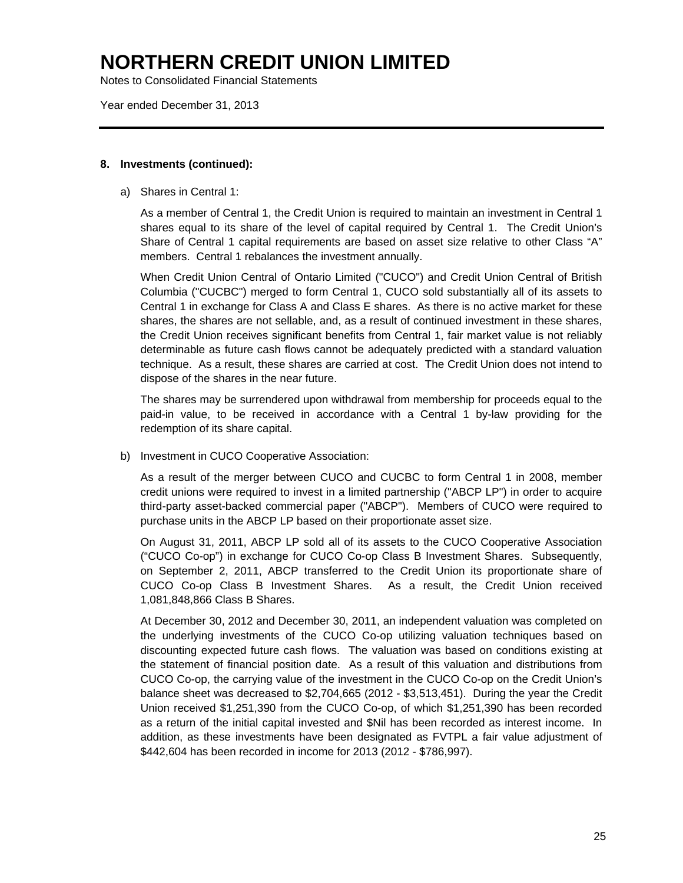Notes to Consolidated Financial Statements

Year ended December 31, 2013

### **8. Investments (continued):**

a) Shares in Central 1:

As a member of Central 1, the Credit Union is required to maintain an investment in Central 1 shares equal to its share of the level of capital required by Central 1. The Credit Union's Share of Central 1 capital requirements are based on asset size relative to other Class "A" members. Central 1 rebalances the investment annually.

When Credit Union Central of Ontario Limited ("CUCO") and Credit Union Central of British Columbia ("CUCBC") merged to form Central 1, CUCO sold substantially all of its assets to Central 1 in exchange for Class A and Class E shares. As there is no active market for these shares, the shares are not sellable, and, as a result of continued investment in these shares, the Credit Union receives significant benefits from Central 1, fair market value is not reliably determinable as future cash flows cannot be adequately predicted with a standard valuation technique. As a result, these shares are carried at cost. The Credit Union does not intend to dispose of the shares in the near future.

The shares may be surrendered upon withdrawal from membership for proceeds equal to the paid-in value, to be received in accordance with a Central 1 by-law providing for the redemption of its share capital.

b) Investment in CUCO Cooperative Association:

 As a result of the merger between CUCO and CUCBC to form Central 1 in 2008, member credit unions were required to invest in a limited partnership ("ABCP LP") in order to acquire third-party asset-backed commercial paper ("ABCP"). Members of CUCO were required to purchase units in the ABCP LP based on their proportionate asset size.

On August 31, 2011, ABCP LP sold all of its assets to the CUCO Cooperative Association ("CUCO Co-op") in exchange for CUCO Co-op Class B Investment Shares. Subsequently, on September 2, 2011, ABCP transferred to the Credit Union its proportionate share of CUCO Co-op Class B Investment Shares. As a result, the Credit Union received 1,081,848,866 Class B Shares.

At December 30, 2012 and December 30, 2011, an independent valuation was completed on the underlying investments of the CUCO Co-op utilizing valuation techniques based on discounting expected future cash flows. The valuation was based on conditions existing at the statement of financial position date. As a result of this valuation and distributions from CUCO Co-op, the carrying value of the investment in the CUCO Co-op on the Credit Union's balance sheet was decreased to \$2,704,665 (2012 - \$3,513,451). During the year the Credit Union received \$1,251,390 from the CUCO Co-op, of which \$1,251,390 has been recorded as a return of the initial capital invested and \$Nil has been recorded as interest income. In addition, as these investments have been designated as FVTPL a fair value adjustment of \$442,604 has been recorded in income for 2013 (2012 - \$786,997).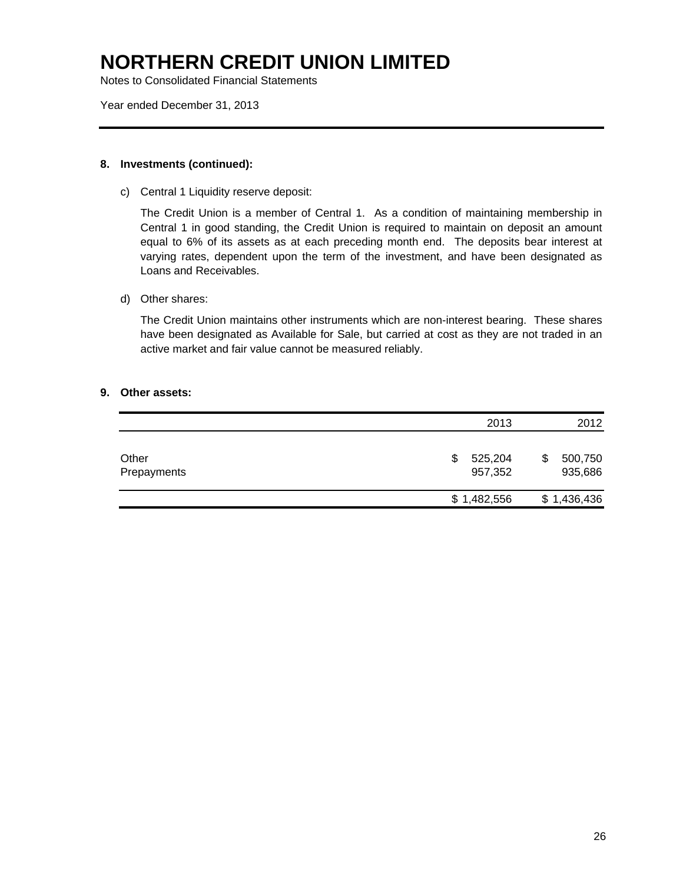Notes to Consolidated Financial Statements

Year ended December 31, 2013

### **8. Investments (continued):**

c) Central 1 Liquidity reserve deposit:

The Credit Union is a member of Central 1. As a condition of maintaining membership in Central 1 in good standing, the Credit Union is required to maintain on deposit an amount equal to 6% of its assets as at each preceding month end. The deposits bear interest at varying rates, dependent upon the term of the investment, and have been designated as Loans and Receivables.

d) Other shares:

The Credit Union maintains other instruments which are non-interest bearing. These shares have been designated as Available for Sale, but carried at cost as they are not traded in an active market and fair value cannot be measured reliably.

### **9. Other assets:**

|                      | 2013                     | 2012                     |
|----------------------|--------------------------|--------------------------|
| Other<br>Prepayments | 525,204<br>\$<br>957,352 | 500,750<br>\$<br>935,686 |
|                      | \$1,482,556              | \$1,436,436              |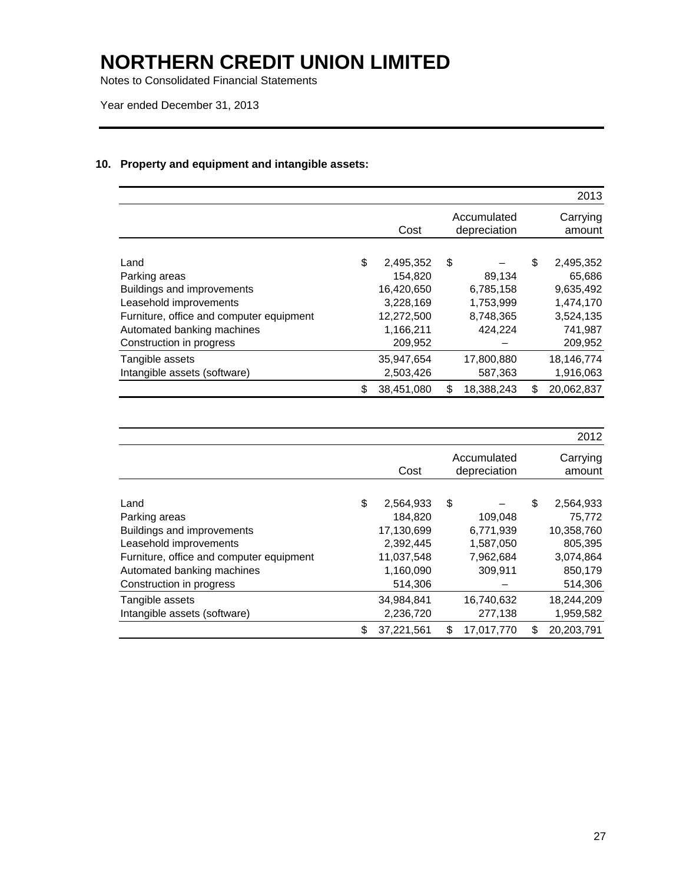Notes to Consolidated Financial Statements

Year ended December 31, 2013

### **10. Property and equipment and intangible assets:**

|                                          |                  |    |                             | 2013               |
|------------------------------------------|------------------|----|-----------------------------|--------------------|
|                                          | Cost             |    | Accumulated<br>depreciation | Carrying<br>amount |
| Land                                     | \$<br>2,495,352  | \$ |                             | \$<br>2,495,352    |
| Parking areas                            | 154,820          |    | 89,134                      | 65,686             |
| Buildings and improvements               | 16,420,650       |    | 6,785,158                   | 9,635,492          |
| Leasehold improvements                   | 3,228,169        |    | 1,753,999                   | 1,474,170          |
| Furniture, office and computer equipment | 12,272,500       |    | 8,748,365                   | 3,524,135          |
| Automated banking machines               | 1,166,211        |    | 424.224                     | 741,987            |
| Construction in progress                 | 209,952          |    |                             | 209,952            |
| Tangible assets                          | 35,947,654       |    | 17,800,880                  | 18,146,774         |
| Intangible assets (software)             | 2,503,426        |    | 587,363                     | 1,916,063          |
|                                          | \$<br>38,451,080 | S  | 18,388,243                  | \$<br>20,062,837   |

|                                          |                  |    |                             | 2012               |
|------------------------------------------|------------------|----|-----------------------------|--------------------|
|                                          | Cost             |    | Accumulated<br>depreciation | Carrying<br>amount |
| Land                                     | \$<br>2,564,933  | \$ |                             | \$<br>2,564,933    |
| Parking areas                            | 184.820          |    | 109,048                     | 75,772             |
| Buildings and improvements               | 17,130,699       |    | 6,771,939                   | 10,358,760         |
| Leasehold improvements                   | 2.392.445        |    | 1,587,050                   | 805,395            |
| Furniture, office and computer equipment | 11,037,548       |    | 7,962,684                   | 3,074,864          |
| Automated banking machines               | 1,160,090        |    | 309,911                     | 850,179            |
| Construction in progress                 | 514,306          |    |                             | 514,306            |
| Tangible assets                          | 34,984,841       |    | 16,740,632                  | 18,244,209         |
| Intangible assets (software)             | 2,236,720        |    | 277,138                     | 1,959,582          |
|                                          | \$<br>37,221,561 | S  | 17.017.770                  | \$<br>20,203,791   |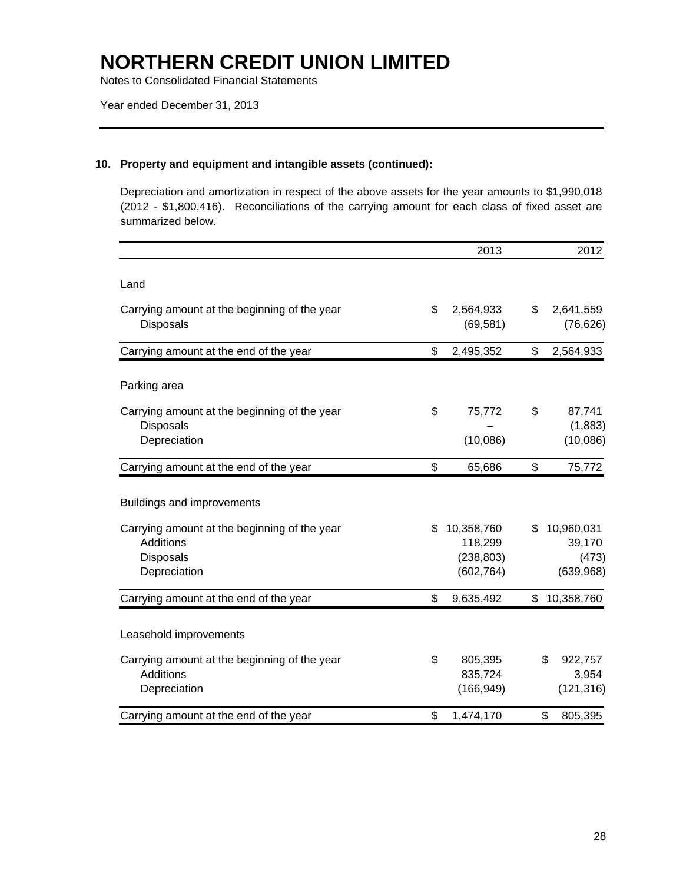Notes to Consolidated Financial Statements

### **10. Property and equipment and intangible assets (continued):**

Depreciation and amortization in respect of the above assets for the year amounts to \$1,990,018 (2012 - \$1,800,416). Reconciliations of the carrying amount for each class of fixed asset are summarized below.

|                                                                                        |     | 2013                                              | 2012                                             |
|----------------------------------------------------------------------------------------|-----|---------------------------------------------------|--------------------------------------------------|
| Land                                                                                   |     |                                                   |                                                  |
| Carrying amount at the beginning of the year<br><b>Disposals</b>                       | \$  | 2,564,933<br>(69, 581)                            | \$<br>2,641,559<br>(76, 626)                     |
| Carrying amount at the end of the year                                                 | \$  | 2,495,352                                         | \$<br>2,564,933                                  |
| Parking area                                                                           |     |                                                   |                                                  |
| Carrying amount at the beginning of the year<br><b>Disposals</b><br>Depreciation       | \$  | 75,772<br>(10,086)                                | \$<br>87,741<br>(1,883)<br>(10,086)              |
| Carrying amount at the end of the year                                                 | \$  | 65,686                                            | \$<br>75,772                                     |
| Buildings and improvements                                                             |     |                                                   |                                                  |
| Carrying amount at the beginning of the year<br>Additions<br>Disposals<br>Depreciation | \$. | 10,358,760<br>118,299<br>(238, 803)<br>(602, 764) | \$<br>10,960,031<br>39,170<br>(473)<br>(639,968) |
| Carrying amount at the end of the year                                                 | \$  | 9,635,492                                         | \$<br>10,358,760                                 |
| Leasehold improvements                                                                 |     |                                                   |                                                  |
| Carrying amount at the beginning of the year<br>Additions<br>Depreciation              | \$  | 805,395<br>835,724<br>(166, 949)                  | \$<br>922,757<br>3,954<br>(121, 316)             |
| Carrying amount at the end of the year                                                 | \$  | 1,474,170                                         | \$<br>805,395                                    |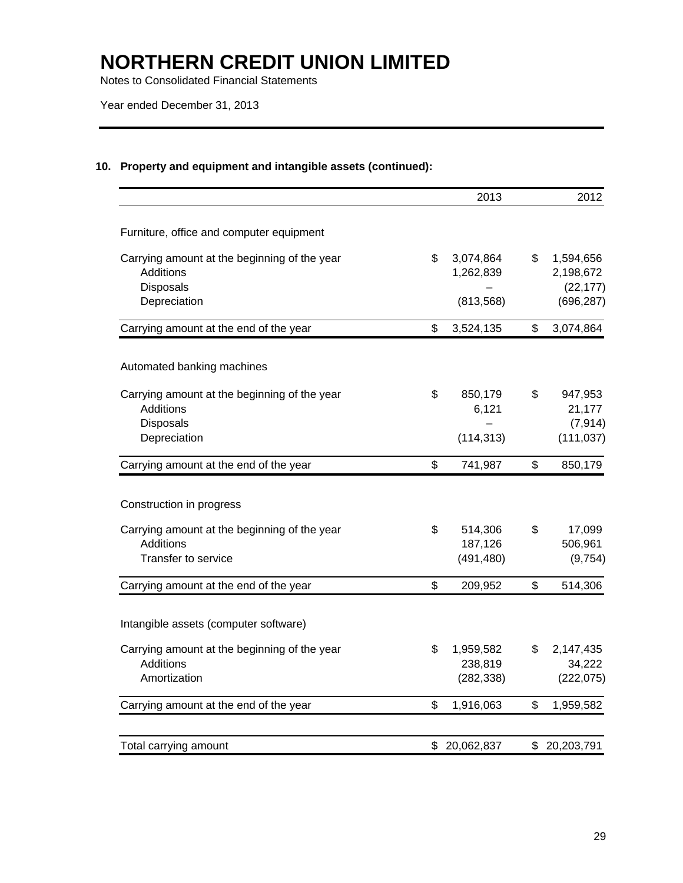Notes to Consolidated Financial Statements

Year ended December 31, 2013

### **10. Property and equipment and intangible assets (continued):**

|                                                                                      | 2013                         | 2012                                      |
|--------------------------------------------------------------------------------------|------------------------------|-------------------------------------------|
| Furniture, office and computer equipment                                             |                              |                                           |
| Carrying amount at the beginning of the year<br><b>Additions</b><br><b>Disposals</b> | \$<br>3,074,864<br>1,262,839 | \$<br>1,594,656<br>2,198,672<br>(22, 177) |
| Depreciation                                                                         | (813, 568)                   | (696, 287)                                |
| Carrying amount at the end of the year                                               | \$<br>3,524,135              | \$<br>3,074,864                           |
| Automated banking machines                                                           |                              |                                           |
| Carrying amount at the beginning of the year                                         | \$<br>850,179                | \$<br>947,953                             |
| <b>Additions</b>                                                                     | 6,121                        | 21,177                                    |
| Disposals<br>Depreciation                                                            | (114, 313)                   | (7, 914)<br>(111, 037)                    |
| Carrying amount at the end of the year                                               | \$<br>741,987                | \$<br>850,179                             |
| Construction in progress                                                             |                              |                                           |
| Carrying amount at the beginning of the year                                         | \$<br>514,306                | \$<br>17,099                              |
| Additions                                                                            | 187,126                      | 506,961                                   |
| Transfer to service                                                                  | (491, 480)                   | (9, 754)                                  |
| Carrying amount at the end of the year                                               | \$<br>209,952                | \$<br>514,306                             |
| Intangible assets (computer software)                                                |                              |                                           |
| Carrying amount at the beginning of the year                                         | \$<br>1,959,582              | \$<br>2,147,435                           |
| <b>Additions</b>                                                                     | 238,819                      | 34,222                                    |
| Amortization                                                                         | (282, 338)                   | (222, 075)                                |
| Carrying amount at the end of the year                                               | \$<br>1,916,063              | \$<br>1,959,582                           |
| Total carrying amount                                                                | \$ 20,062,837                | \$ 20,203,791                             |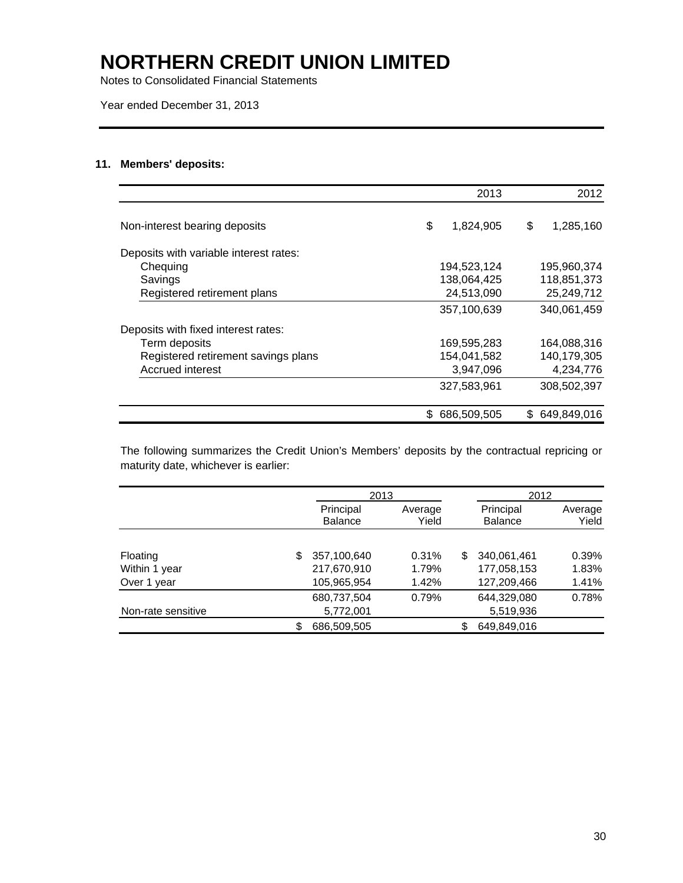Notes to Consolidated Financial Statements

Year ended December 31, 2013

### **11. Members' deposits:**

|                                        |    | 2013        | 2012            |
|----------------------------------------|----|-------------|-----------------|
| Non-interest bearing deposits          | \$ | 1,824,905   | \$<br>1,285,160 |
| Deposits with variable interest rates: |    |             |                 |
| Chequing                               |    | 194,523,124 | 195,960,374     |
| Savings                                |    | 138.064.425 | 118,851,373     |
| Registered retirement plans            |    | 24,513,090  | 25,249,712      |
|                                        |    | 357,100,639 | 340,061,459     |
| Deposits with fixed interest rates:    |    |             |                 |
| Term deposits                          |    | 169,595,283 | 164,088,316     |
| Registered retirement savings plans    |    | 154,041,582 | 140,179,305     |
| <b>Accrued interest</b>                |    | 3,947,096   | 4,234,776       |
|                                        |    | 327,583,961 | 308,502,397     |
|                                        | S  | 686,509,505 | \$649,849,016   |

The following summarizes the Credit Union's Members' deposits by the contractual repricing or maturity date, whichever is earlier:

|                    |    | 2013                        |                  |   | 2012                        |                  |
|--------------------|----|-----------------------------|------------------|---|-----------------------------|------------------|
|                    |    | Principal<br><b>Balance</b> | Average<br>Yield |   | Principal<br><b>Balance</b> | Average<br>Yield |
|                    |    |                             |                  |   |                             |                  |
| Floating           | S  | 357,100,640                 | 0.31%            | S | 340,061,461                 | 0.39%            |
| Within 1 year      |    | 217,670,910                 | 1.79%            |   | 177,058,153                 | 1.83%            |
| Over 1 year        |    | 105,965,954                 | 1.42%            |   | 127,209,466                 | 1.41%            |
|                    |    | 680,737,504                 | 0.79%            |   | 644.329.080                 | 0.78%            |
| Non-rate sensitive |    | 5,772,001                   |                  |   | 5,519,936                   |                  |
|                    | S. | 686,509,505                 |                  |   | 649,849,016                 |                  |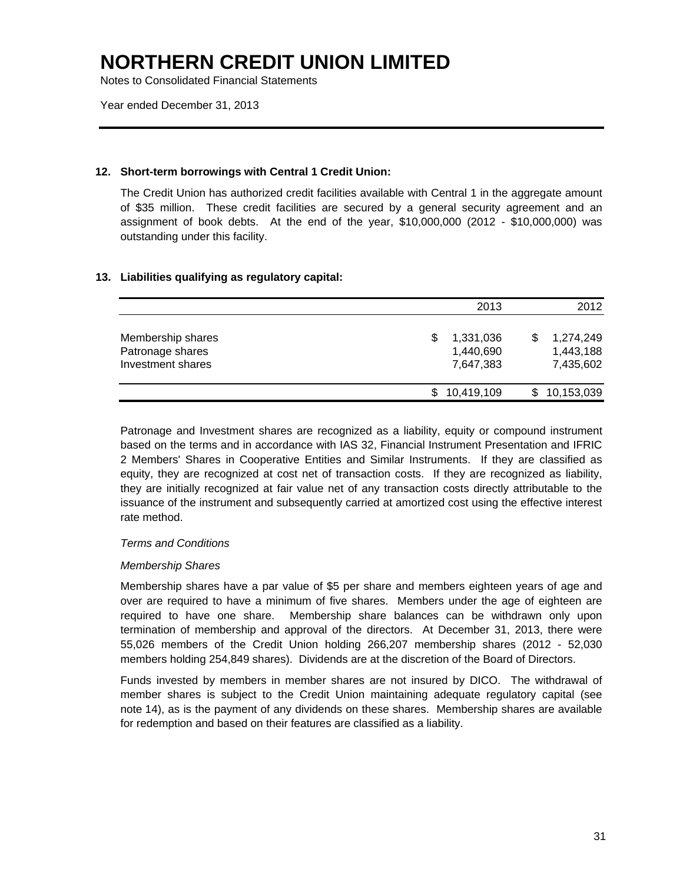Notes to Consolidated Financial Statements

Year ended December 31, 2013

### **12. Short-term borrowings with Central 1 Credit Union:**

The Credit Union has authorized credit facilities available with Central 1 in the aggregate amount of \$35 million. These credit facilities are secured by a general security agreement and an assignment of book debts. At the end of the year, \$10,000,000 (2012 - \$10,000,000) was outstanding under this facility.

### **13. Liabilities qualifying as regulatory capital:**

|                                                            | 2013                                     | 2012                                |
|------------------------------------------------------------|------------------------------------------|-------------------------------------|
| Membership shares<br>Patronage shares<br>Investment shares | 1,331,036<br>S<br>1,440,690<br>7,647,383 | 1,274,249<br>1,443,188<br>7,435,602 |
|                                                            | \$10,419,109                             | 10,153,039                          |

Patronage and Investment shares are recognized as a liability, equity or compound instrument based on the terms and in accordance with IAS 32, Financial Instrument Presentation and IFRIC 2 Members' Shares in Cooperative Entities and Similar Instruments. If they are classified as equity, they are recognized at cost net of transaction costs. If they are recognized as liability, they are initially recognized at fair value net of any transaction costs directly attributable to the issuance of the instrument and subsequently carried at amortized cost using the effective interest rate method.

### *Terms and Conditions*

### *Membership Shares*

Membership shares have a par value of \$5 per share and members eighteen years of age and over are required to have a minimum of five shares. Members under the age of eighteen are required to have one share. Membership share balances can be withdrawn only upon termination of membership and approval of the directors. At December 31, 2013, there were 55,026 members of the Credit Union holding 266,207 membership shares (2012 - 52,030 members holding 254,849 shares). Dividends are at the discretion of the Board of Directors.

Funds invested by members in member shares are not insured by DICO. The withdrawal of member shares is subject to the Credit Union maintaining adequate regulatory capital (see note 14), as is the payment of any dividends on these shares. Membership shares are available for redemption and based on their features are classified as a liability.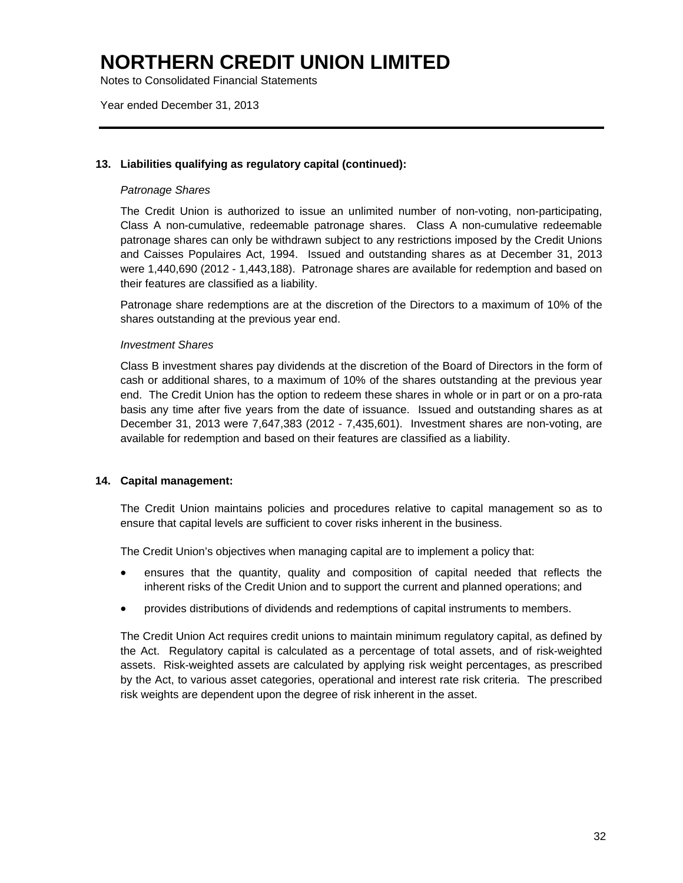Notes to Consolidated Financial Statements

Year ended December 31, 2013

### **13. Liabilities qualifying as regulatory capital (continued):**

### *Patronage Shares*

The Credit Union is authorized to issue an unlimited number of non-voting, non-participating, Class A non-cumulative, redeemable patronage shares. Class A non-cumulative redeemable patronage shares can only be withdrawn subject to any restrictions imposed by the Credit Unions and Caisses Populaires Act, 1994. Issued and outstanding shares as at December 31, 2013 were 1,440,690 (2012 - 1,443,188). Patronage shares are available for redemption and based on their features are classified as a liability.

Patronage share redemptions are at the discretion of the Directors to a maximum of 10% of the shares outstanding at the previous year end.

### *Investment Shares*

Class B investment shares pay dividends at the discretion of the Board of Directors in the form of cash or additional shares, to a maximum of 10% of the shares outstanding at the previous year end. The Credit Union has the option to redeem these shares in whole or in part or on a pro-rata basis any time after five years from the date of issuance. Issued and outstanding shares as at December 31, 2013 were 7,647,383 (2012 - 7,435,601). Investment shares are non-voting, are available for redemption and based on their features are classified as a liability.

### **14. Capital management:**

The Credit Union maintains policies and procedures relative to capital management so as to ensure that capital levels are sufficient to cover risks inherent in the business.

The Credit Union's objectives when managing capital are to implement a policy that:

- ensures that the quantity, quality and composition of capital needed that reflects the inherent risks of the Credit Union and to support the current and planned operations; and
- provides distributions of dividends and redemptions of capital instruments to members.

The Credit Union Act requires credit unions to maintain minimum regulatory capital, as defined by the Act. Regulatory capital is calculated as a percentage of total assets, and of risk-weighted assets. Risk-weighted assets are calculated by applying risk weight percentages, as prescribed by the Act, to various asset categories, operational and interest rate risk criteria. The prescribed risk weights are dependent upon the degree of risk inherent in the asset.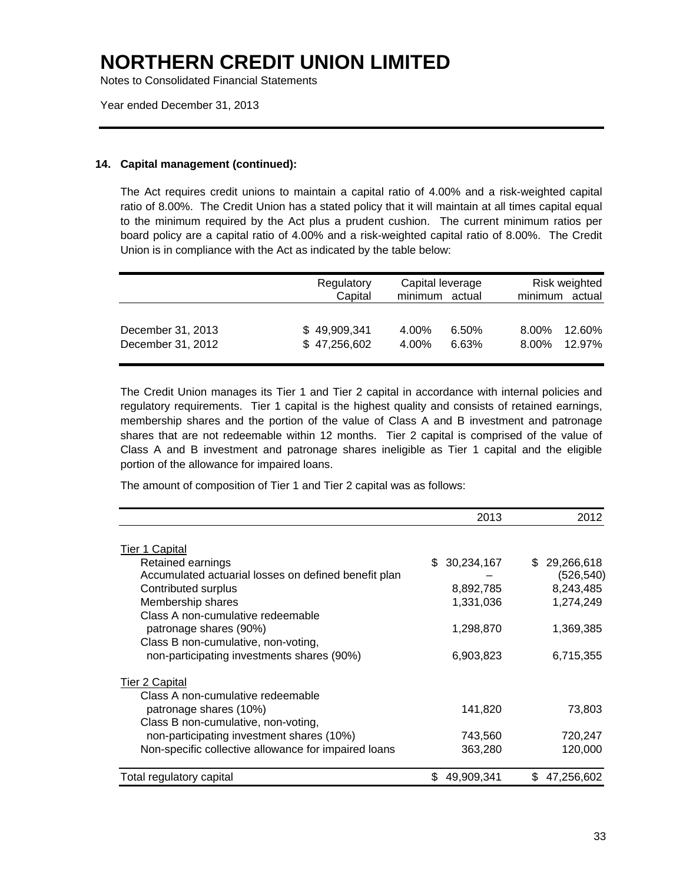Notes to Consolidated Financial Statements

Year ended December 31, 2013

### **14. Capital management (continued):**

The Act requires credit unions to maintain a capital ratio of 4.00% and a risk-weighted capital ratio of 8.00%. The Credit Union has a stated policy that it will maintain at all times capital equal to the minimum required by the Act plus a prudent cushion. The current minimum ratios per board policy are a capital ratio of 4.00% and a risk-weighted capital ratio of 8.00%. The Credit Union is in compliance with the Act as indicated by the table below:

|                                        | Regulatory<br>Capital        | Risk weighted<br>Capital leverage<br>minimum<br>minimum actual |                                    |
|----------------------------------------|------------------------------|----------------------------------------------------------------|------------------------------------|
| December 31, 2013<br>December 31, 2012 | \$49,909,341<br>\$47,256,602 | 4.00%<br>6.50%<br>4.00%<br>6.63%                               | 12.60%<br>8.00%<br>12.97%<br>8.00% |

The Credit Union manages its Tier 1 and Tier 2 capital in accordance with internal policies and regulatory requirements. Tier 1 capital is the highest quality and consists of retained earnings, membership shares and the portion of the value of Class A and B investment and patronage shares that are not redeemable within 12 months. Tier 2 capital is comprised of the value of Class A and B investment and patronage shares ineligible as Tier 1 capital and the eligible portion of the allowance for impaired loans.

The amount of composition of Tier 1 and Tier 2 capital was as follows:

| 2013      | 2012                                  |
|-----------|---------------------------------------|
|           |                                       |
| S.        | 29,266,618<br>\$                      |
|           | (526, 540)                            |
|           | 8,243,485                             |
| 1,331,036 | 1,274,249                             |
|           |                                       |
| 1,298,870 | 1,369,385                             |
|           |                                       |
| 6,903,823 | 6,715,355                             |
|           |                                       |
|           |                                       |
| 141,820   | 73,803                                |
|           |                                       |
| 743,560   | 720,247                               |
| 363,280   | 120,000                               |
| S         | 47,256,602<br>S                       |
|           | 30,234,167<br>8,892,785<br>49,909,341 |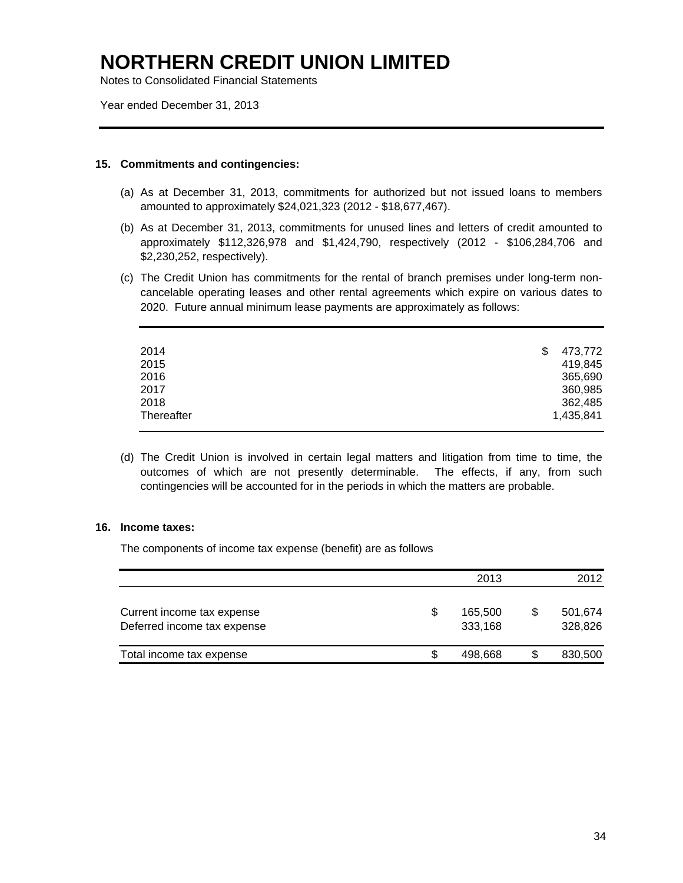Notes to Consolidated Financial Statements

Year ended December 31, 2013

### **15. Commitments and contingencies:**

- (a) As at December 31, 2013, commitments for authorized but not issued loans to members amounted to approximately \$24,021,323 (2012 - \$18,677,467).
- (b) As at December 31, 2013, commitments for unused lines and letters of credit amounted to approximately \$112,326,978 and \$1,424,790, respectively (2012 - \$106,284,706 and \$2,230,252, respectively).
- (c) The Credit Union has commitments for the rental of branch premises under long-term noncancelable operating leases and other rental agreements which expire on various dates to 2020. Future annual minimum lease payments are approximately as follows:

| 473,772   |
|-----------|
| 419,845   |
| 365,690   |
| 360,985   |
| 362,485   |
| 1,435,841 |
|           |

(d) The Credit Union is involved in certain legal matters and litigation from time to time, the outcomes of which are not presently determinable. The effects, if any, from such contingencies will be accounted for in the periods in which the matters are probable.

### **16. Income taxes:**

The components of income tax expense (benefit) are as follows

|                                                           |    | 2013               | 2012                     |
|-----------------------------------------------------------|----|--------------------|--------------------------|
| Current income tax expense<br>Deferred income tax expense | \$ | 165.500<br>333,168 | \$<br>501,674<br>328,826 |
| Total income tax expense                                  | S  | 498.668            | \$<br>830,500            |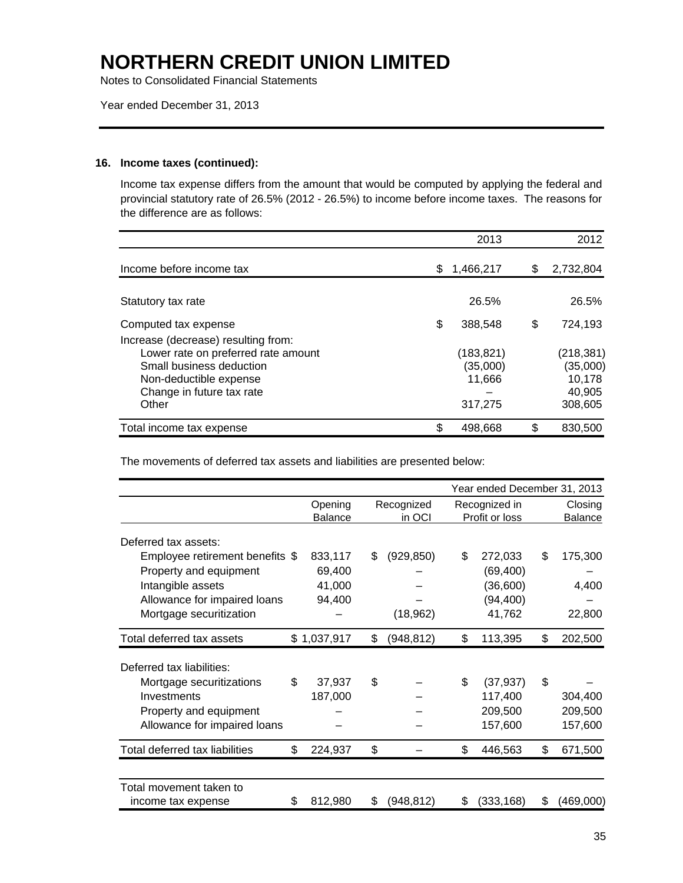Notes to Consolidated Financial Statements

Year ended December 31, 2013

### **16. Income taxes (continued):**

Income tax expense differs from the amount that would be computed by applying the federal and provincial statutory rate of 26.5% (2012 - 26.5%) to income before income taxes. The reasons for the difference are as follows:

|                                                                                                                                                                        |    | 2013                                       | 2012                                                  |
|------------------------------------------------------------------------------------------------------------------------------------------------------------------------|----|--------------------------------------------|-------------------------------------------------------|
| Income before income tax                                                                                                                                               | S. | 1,466,217                                  | \$<br>2,732,804                                       |
| Statutory tax rate                                                                                                                                                     |    | 26.5%                                      | 26.5%                                                 |
| Computed tax expense                                                                                                                                                   | \$ | 388.548                                    | \$<br>724.193                                         |
| Increase (decrease) resulting from:<br>Lower rate on preferred rate amount<br>Small business deduction<br>Non-deductible expense<br>Change in future tax rate<br>Other |    | (183,821)<br>(35,000)<br>11,666<br>317,275 | (218, 381)<br>(35,000)<br>10.178<br>40,905<br>308,605 |
| Total income tax expense                                                                                                                                               | \$ | 498.668                                    | \$<br>830,500                                         |

The movements of deferred tax assets and liabilities are presented below:

|                                                                                                                                           | Year ended December 31, 2013 |                                       |    |                         |     |                                                         |    |                               |
|-------------------------------------------------------------------------------------------------------------------------------------------|------------------------------|---------------------------------------|----|-------------------------|-----|---------------------------------------------------------|----|-------------------------------|
|                                                                                                                                           |                              | Opening<br><b>Balance</b>             |    | Recognized<br>in OCI    |     | Recognized in<br>Profit or loss                         |    | Closing<br>Balance            |
| Deferred tax assets:                                                                                                                      |                              |                                       |    |                         |     |                                                         |    |                               |
| Employee retirement benefits \$<br>Property and equipment<br>Intangible assets<br>Allowance for impaired loans<br>Mortgage securitization |                              | 833,117<br>69,400<br>41,000<br>94,400 | \$ | (929, 850)<br>(18, 962) | \$  | 272,033<br>(69, 400)<br>(36,600)<br>(94, 400)<br>41,762 | \$ | 175,300<br>4,400<br>22,800    |
| Total deferred tax assets                                                                                                                 |                              | \$1,037,917                           | \$ | (948, 812)              | \$  | 113,395                                                 | \$ | 202,500                       |
| Deferred tax liabilities:                                                                                                                 |                              |                                       |    |                         |     |                                                         |    |                               |
| Mortgage securitizations<br>Investments<br>Property and equipment<br>Allowance for impaired loans                                         | \$                           | 37,937<br>187,000                     | \$ |                         | \$. | (37, 937)<br>117,400<br>209,500<br>157,600              | \$ | 304,400<br>209,500<br>157,600 |
| Total deferred tax liabilities                                                                                                            | \$                           | 224,937                               | \$ |                         | \$  | 446,563                                                 | \$ | 671,500                       |
| Total movement taken to<br>income tax expense                                                                                             | \$                           | 812,980                               | \$ | (948, 812)              | \$  | (333, 168)                                              | \$ | (469,000)                     |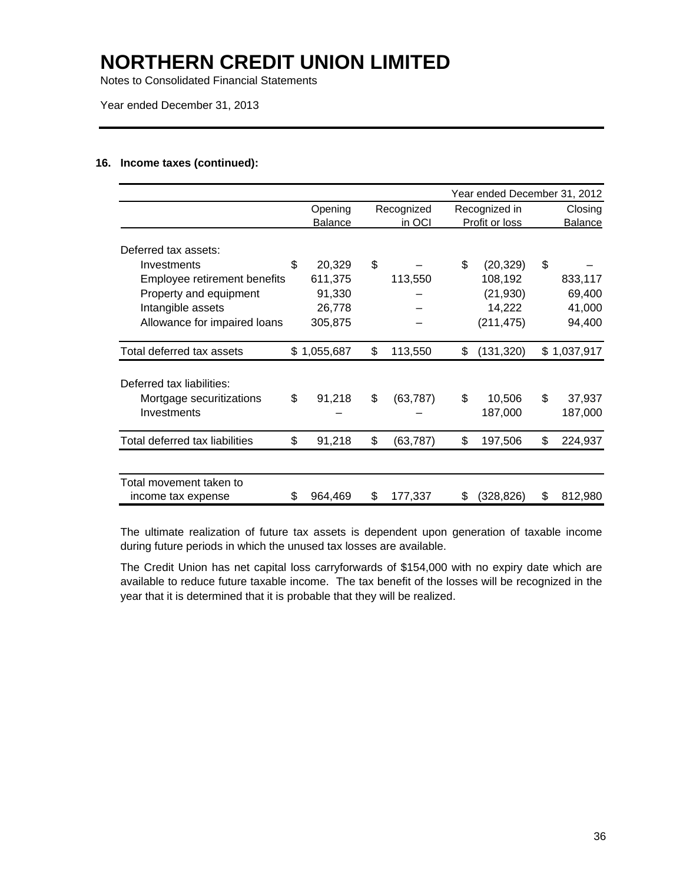Notes to Consolidated Financial Statements

Year ended December 31, 2013

### **16. Income taxes (continued):**

|                                | Year ended December 31, 2012 |             |    |            |    |                |    |             |
|--------------------------------|------------------------------|-------------|----|------------|----|----------------|----|-------------|
|                                |                              | Opening     |    | Recognized |    | Recognized in  |    | Closing     |
|                                |                              | Balance     |    | in OCI     |    | Profit or loss |    | Balance     |
| Deferred tax assets:           |                              |             |    |            |    |                |    |             |
| Investments                    | \$                           | 20,329      | \$ |            | \$ | (20, 329)      | \$ |             |
| Employee retirement benefits   |                              | 611,375     |    | 113,550    |    | 108,192        |    | 833,117     |
| Property and equipment         |                              | 91,330      |    |            |    | (21, 930)      |    | 69,400      |
| Intangible assets              |                              | 26,778      |    |            |    | 14,222         |    | 41,000      |
| Allowance for impaired loans   |                              | 305,875     |    |            |    | (211, 475)     |    | 94,400      |
|                                |                              |             |    |            |    |                |    |             |
| Total deferred tax assets      |                              | \$1,055,687 | \$ | 113,550    | \$ | (131, 320)     |    | \$1,037,917 |
|                                |                              |             |    |            |    |                |    |             |
| Deferred tax liabilities:      |                              |             |    |            |    |                |    |             |
| Mortgage securitizations       | \$                           | 91,218      | \$ | (63, 787)  | \$ | 10,506         | \$ | 37,937      |
| Investments                    |                              |             |    |            |    | 187,000        |    | 187,000     |
|                                |                              |             |    |            |    |                |    |             |
| Total deferred tax liabilities | \$                           | 91,218      | \$ | (63, 787)  | \$ | 197,506        | \$ | 224,937     |
|                                |                              |             |    |            |    |                |    |             |
| Total movement taken to        |                              |             |    |            |    |                |    |             |
| income tax expense             | \$.                          | 964,469     | S  | 177,337    | \$ | (328,826)      | S  | 812,980     |

The ultimate realization of future tax assets is dependent upon generation of taxable income during future periods in which the unused tax losses are available.

The Credit Union has net capital loss carryforwards of \$154,000 with no expiry date which are available to reduce future taxable income. The tax benefit of the losses will be recognized in the year that it is determined that it is probable that they will be realized.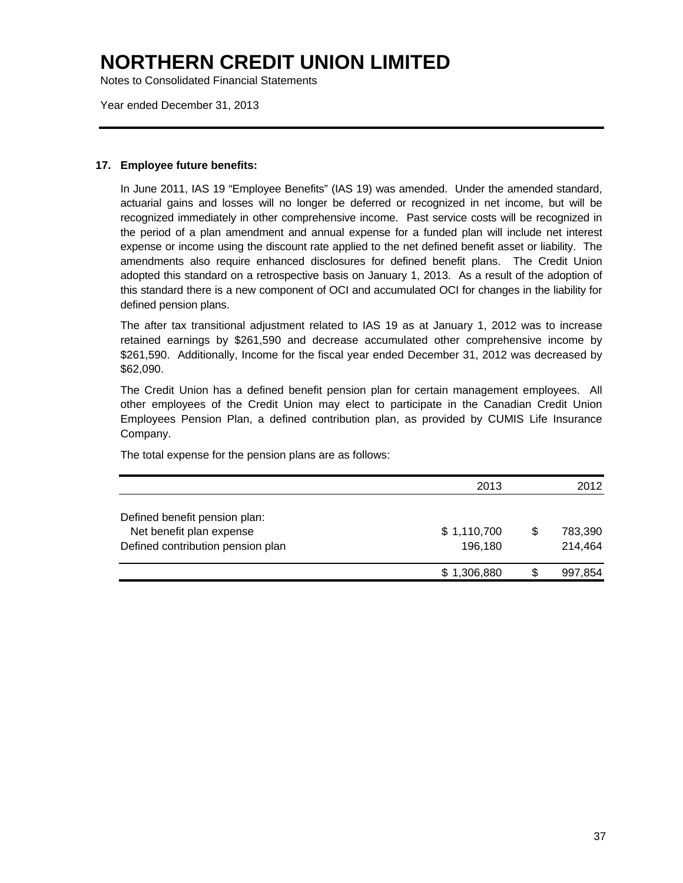Notes to Consolidated Financial Statements

Year ended December 31, 2013

### **17. Employee future benefits:**

In June 2011, IAS 19 "Employee Benefits" (IAS 19) was amended. Under the amended standard, actuarial gains and losses will no longer be deferred or recognized in net income, but will be recognized immediately in other comprehensive income. Past service costs will be recognized in the period of a plan amendment and annual expense for a funded plan will include net interest expense or income using the discount rate applied to the net defined benefit asset or liability. The amendments also require enhanced disclosures for defined benefit plans. The Credit Union adopted this standard on a retrospective basis on January 1, 2013. As a result of the adoption of this standard there is a new component of OCI and accumulated OCI for changes in the liability for defined pension plans.

The after tax transitional adjustment related to IAS 19 as at January 1, 2012 was to increase retained earnings by \$261,590 and decrease accumulated other comprehensive income by \$261,590. Additionally, Income for the fiscal year ended December 31, 2012 was decreased by \$62,090.

The Credit Union has a defined benefit pension plan for certain management employees. All other employees of the Credit Union may elect to participate in the Canadian Credit Union Employees Pension Plan, a defined contribution plan, as provided by CUMIS Life Insurance Company.

The total expense for the pension plans are as follows:

|                                   | 2013        |   | 2012    |
|-----------------------------------|-------------|---|---------|
| Defined benefit pension plan:     |             |   |         |
| Net benefit plan expense          | \$1,110,700 | S | 783,390 |
| Defined contribution pension plan | 196,180     |   | 214,464 |
|                                   | \$1,306,880 |   | 997,854 |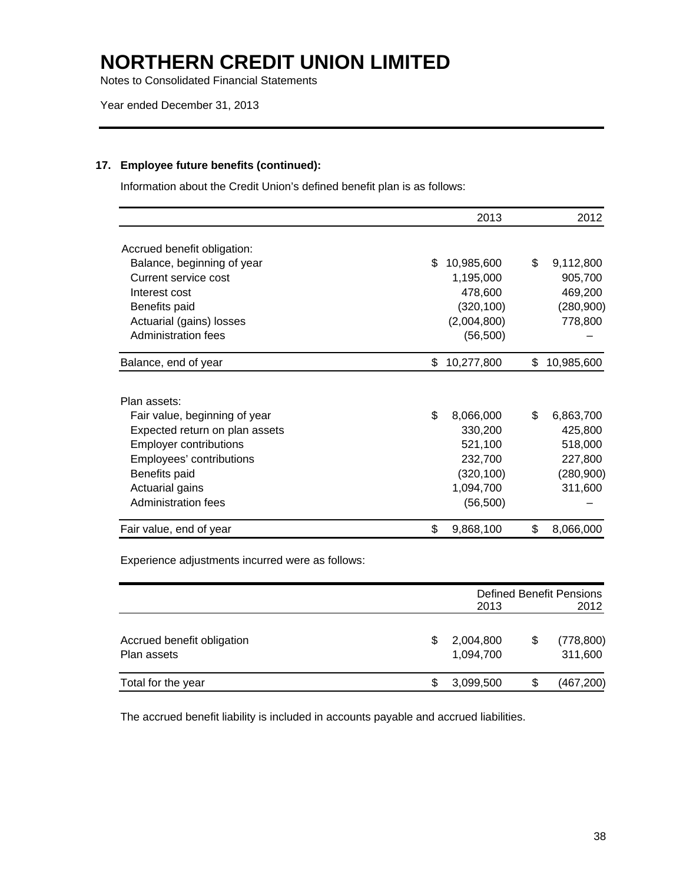Notes to Consolidated Financial Statements

### **17. Employee future benefits (continued):**

Information about the Credit Union's defined benefit plan is as follows:

|                                |     | 2013        | 2012             |
|--------------------------------|-----|-------------|------------------|
| Accrued benefit obligation:    |     |             |                  |
| Balance, beginning of year     | \$. | 10,985,600  | \$<br>9,112,800  |
| Current service cost           |     | 1,195,000   | 905,700          |
| Interest cost                  |     | 478,600     | 469,200          |
| Benefits paid                  |     | (320, 100)  | (280,900)        |
| Actuarial (gains) losses       |     | (2,004,800) | 778,800          |
| Administration fees            |     | (56, 500)   |                  |
| Balance, end of year           | \$. | 10,277,800  | \$<br>10,985,600 |
|                                |     |             |                  |
| Plan assets:                   |     |             |                  |
| Fair value, beginning of year  | \$  | 8,066,000   | \$<br>6,863,700  |
| Expected return on plan assets |     | 330,200     | 425,800          |
| <b>Employer contributions</b>  |     | 521,100     | 518,000          |
| Employees' contributions       |     | 232,700     | 227,800          |
| Benefits paid                  |     | (320, 100)  | (280,900)        |
| Actuarial gains                |     | 1,094,700   | 311,600          |
| Administration fees            |     | (56, 500)   |                  |
| Fair value, end of year        | \$  | 9,868,100   | \$<br>8,066,000  |

Experience adjustments incurred were as follows:

|                                           |    | <b>Defined Benefit Pensions</b> |      |                       |  |  |
|-------------------------------------------|----|---------------------------------|------|-----------------------|--|--|
|                                           |    | 2013                            | 2012 |                       |  |  |
| Accrued benefit obligation<br>Plan assets | \$ | 2,004,800<br>1,094,700          | \$   | (778, 800)<br>311,600 |  |  |
| Total for the year                        | S  | 3,099,500                       | \$   | (467, 200)            |  |  |

The accrued benefit liability is included in accounts payable and accrued liabilities.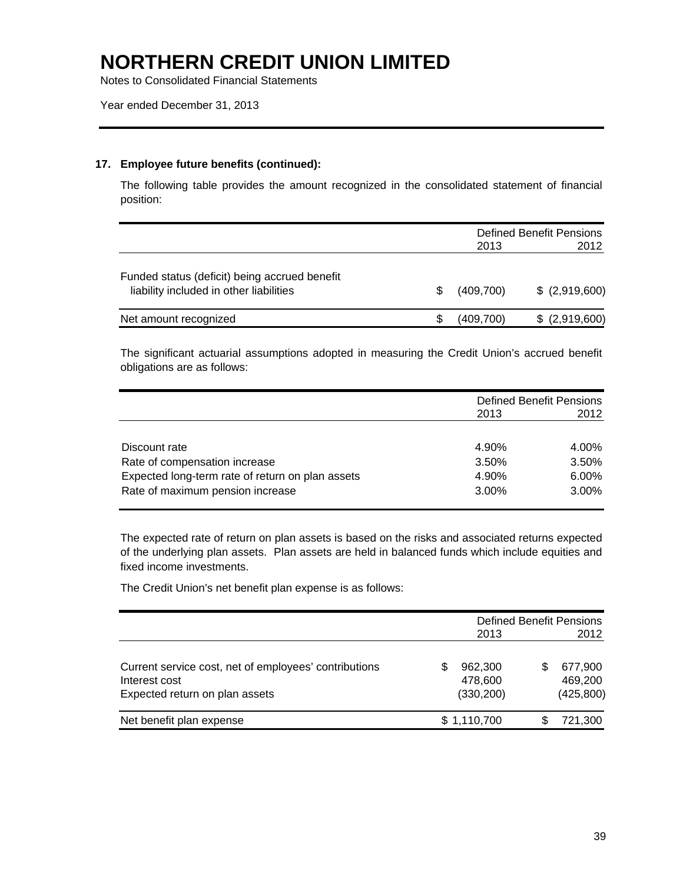Notes to Consolidated Financial Statements

### **17. Employee future benefits (continued):**

The following table provides the amount recognized in the consolidated statement of financial position:

|                                                                                          | <b>Defined Benefit Pensions</b> |                 |  |  |
|------------------------------------------------------------------------------------------|---------------------------------|-----------------|--|--|
|                                                                                          | 2013                            | 2012            |  |  |
| Funded status (deficit) being accrued benefit<br>liability included in other liabilities | (409,700)                       | $$$ (2,919,600) |  |  |
| Net amount recognized                                                                    | (409,700)                       | $$$ (2,919,600) |  |  |

The significant actuarial assumptions adopted in measuring the Credit Union's accrued benefit obligations are as follows:

|                                                  |          | <b>Defined Benefit Pensions</b> |
|--------------------------------------------------|----------|---------------------------------|
|                                                  | 2013     | 2012                            |
|                                                  |          |                                 |
| Discount rate                                    | 4.90%    | 4.00%                           |
| Rate of compensation increase                    | 3.50%    | 3.50%                           |
| Expected long-term rate of return on plan assets | 4.90%    | 6.00%                           |
| Rate of maximum pension increase                 | $3.00\%$ | 3.00%                           |

The expected rate of return on plan assets is based on the risks and associated returns expected of the underlying plan assets. Plan assets are held in balanced funds which include equities and fixed income investments.

The Credit Union's net benefit plan expense is as follows:

|                                                                                                          | 2013                                   | <b>Defined Benefit Pensions</b><br>2012 |
|----------------------------------------------------------------------------------------------------------|----------------------------------------|-----------------------------------------|
| Current service cost, net of employees' contributions<br>Interest cost<br>Expected return on plan assets | 962,300<br>35<br>478.600<br>(330, 200) | 677,900<br>469.200<br>(425, 800)        |
| Net benefit plan expense                                                                                 | \$1,110,700                            | 721,300                                 |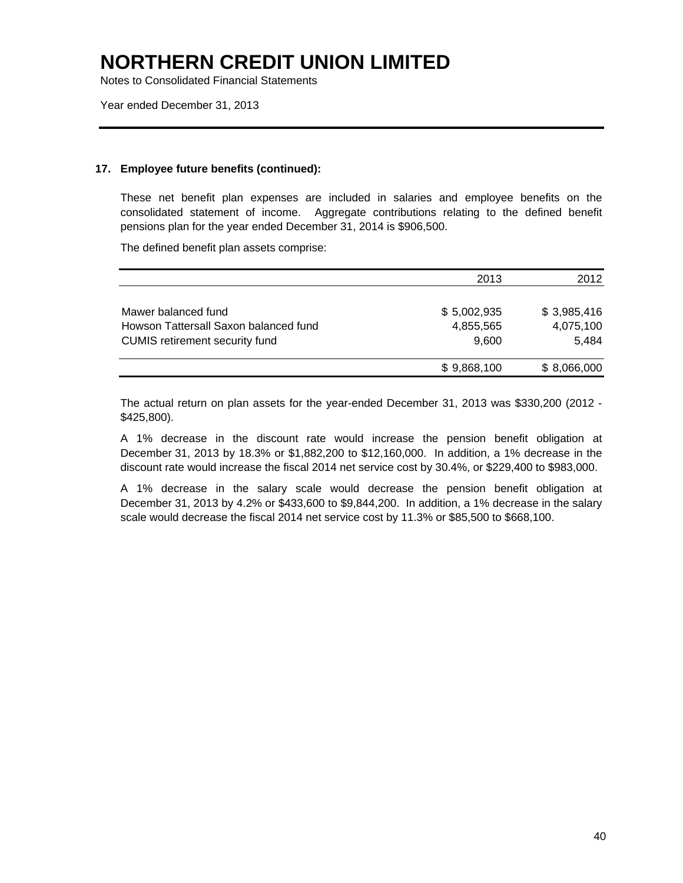Notes to Consolidated Financial Statements

Year ended December 31, 2013

### **17. Employee future benefits (continued):**

These net benefit plan expenses are included in salaries and employee benefits on the consolidated statement of income. Aggregate contributions relating to the defined benefit pensions plan for the year ended December 31, 2014 is \$906,500.

The defined benefit plan assets comprise:

|                                       | 2013        | 2012        |
|---------------------------------------|-------------|-------------|
| Mawer balanced fund                   | \$5,002,935 | \$3,985,416 |
| Howson Tattersall Saxon balanced fund | 4,855,565   | 4,075,100   |
| <b>CUMIS</b> retirement security fund | 9.600       | 5.484       |
|                                       | \$9,868,100 | \$8,066,000 |

The actual return on plan assets for the year-ended December 31, 2013 was \$330,200 (2012 - \$425,800).

A 1% decrease in the discount rate would increase the pension benefit obligation at December 31, 2013 by 18.3% or \$1,882,200 to \$12,160,000. In addition, a 1% decrease in the discount rate would increase the fiscal 2014 net service cost by 30.4%, or \$229,400 to \$983,000.

A 1% decrease in the salary scale would decrease the pension benefit obligation at December 31, 2013 by 4.2% or \$433,600 to \$9,844,200. In addition, a 1% decrease in the salary scale would decrease the fiscal 2014 net service cost by 11.3% or \$85,500 to \$668,100.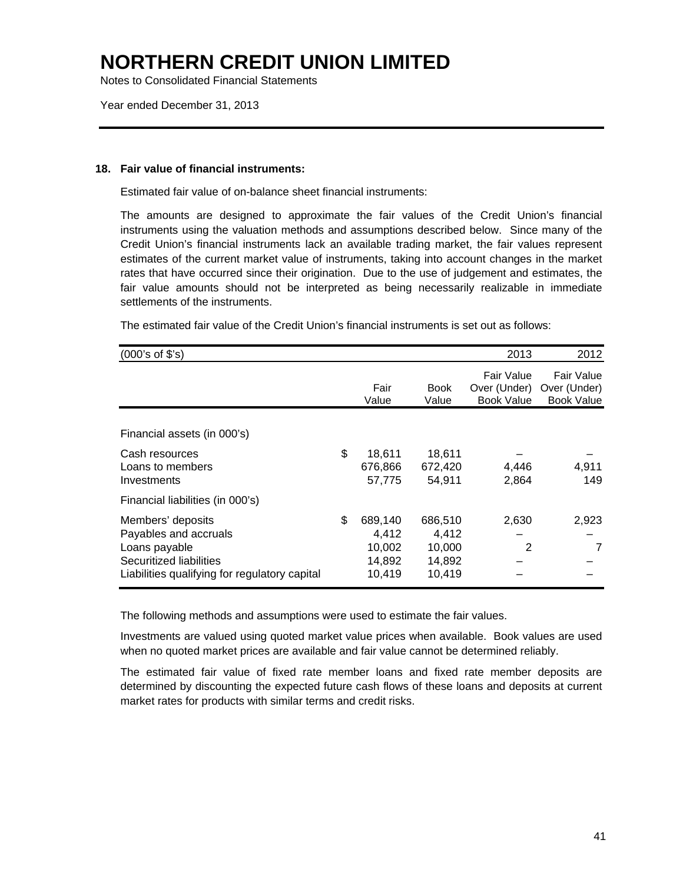Notes to Consolidated Financial Statements

Year ended December 31, 2013

### **18. Fair value of financial instruments:**

Estimated fair value of on-balance sheet financial instruments:

The amounts are designed to approximate the fair values of the Credit Union's financial instruments using the valuation methods and assumptions described below. Since many of the Credit Union's financial instruments lack an available trading market, the fair values represent estimates of the current market value of instruments, taking into account changes in the market rates that have occurred since their origination. Due to the use of judgement and estimates, the fair value amounts should not be interpreted as being necessarily realizable in immediate settlements of the instruments.

| (000's of \$'s)                                                                                                                         |                                                      |                                                | 2013                                            | 2012                                            |
|-----------------------------------------------------------------------------------------------------------------------------------------|------------------------------------------------------|------------------------------------------------|-------------------------------------------------|-------------------------------------------------|
|                                                                                                                                         | Fair<br>Value                                        | <b>Book</b><br>Value                           | Fair Value<br>Over (Under)<br><b>Book Value</b> | Fair Value<br>Over (Under)<br><b>Book Value</b> |
| Financial assets (in 000's)                                                                                                             |                                                      |                                                |                                                 |                                                 |
| Cash resources<br>Loans to members<br>Investments                                                                                       | \$<br>18,611<br>676,866<br>57,775                    | 18,611<br>672,420<br>54,911                    | 4,446<br>2,864                                  | 4,911<br>149                                    |
| Financial liabilities (in 000's)                                                                                                        |                                                      |                                                |                                                 |                                                 |
| Members' deposits<br>Payables and accruals<br>Loans payable<br>Securitized liabilities<br>Liabilities qualifying for regulatory capital | \$<br>689,140<br>4,412<br>10,002<br>14,892<br>10,419 | 686,510<br>4,412<br>10,000<br>14,892<br>10,419 | 2,630<br>2                                      | 2,923<br>7                                      |

The estimated fair value of the Credit Union's financial instruments is set out as follows:

The following methods and assumptions were used to estimate the fair values.

Investments are valued using quoted market value prices when available. Book values are used when no quoted market prices are available and fair value cannot be determined reliably.

The estimated fair value of fixed rate member loans and fixed rate member deposits are determined by discounting the expected future cash flows of these loans and deposits at current market rates for products with similar terms and credit risks.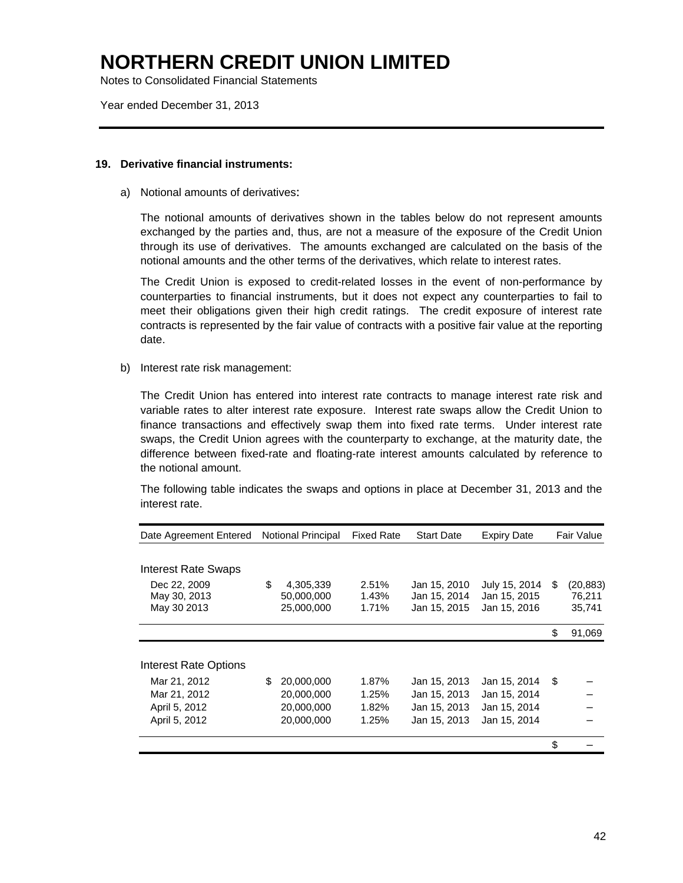Notes to Consolidated Financial Statements

Year ended December 31, 2013

#### **19. Derivative financial instruments:**

a) Notional amounts of derivatives:

The notional amounts of derivatives shown in the tables below do not represent amounts exchanged by the parties and, thus, are not a measure of the exposure of the Credit Union through its use of derivatives. The amounts exchanged are calculated on the basis of the notional amounts and the other terms of the derivatives, which relate to interest rates.

The Credit Union is exposed to credit-related losses in the event of non-performance by counterparties to financial instruments, but it does not expect any counterparties to fail to meet their obligations given their high credit ratings. The credit exposure of interest rate contracts is represented by the fair value of contracts with a positive fair value at the reporting date.

b) Interest rate risk management:

The Credit Union has entered into interest rate contracts to manage interest rate risk and variable rates to alter interest rate exposure. Interest rate swaps allow the Credit Union to finance transactions and effectively swap them into fixed rate terms. Under interest rate swaps, the Credit Union agrees with the counterparty to exchange, at the maturity date, the difference between fixed-rate and floating-rate interest amounts calculated by reference to the notional amount.

The following table indicates the swaps and options in place at December 31, 2013 and the interest rate.

| Date Agreement Entered |    | <b>Notional Principal</b> | <b>Fixed Rate</b> | <b>Start Date</b> | <b>Expiry Date</b> |    | Fair Value |
|------------------------|----|---------------------------|-------------------|-------------------|--------------------|----|------------|
|                        |    |                           |                   |                   |                    |    |            |
| Interest Rate Swaps    |    |                           |                   |                   |                    |    |            |
| Dec 22, 2009           | \$ | 4,305,339                 | 2.51%             | Jan 15, 2010      | July 15, 2014      | S  | (20, 883)  |
| May 30, 2013           |    | 50,000,000                | 1.43%             | Jan 15, 2014      | Jan 15, 2015       |    | 76,211     |
| May 30 2013            |    | 25,000,000                | 1.71%             | Jan 15, 2015      | Jan 15, 2016       |    | 35,741     |
|                        |    |                           |                   |                   |                    | \$ | 91,069     |
|                        |    |                           |                   |                   |                    |    |            |
| Interest Rate Options  |    |                           |                   |                   |                    |    |            |
| Mar 21, 2012           | S  | 20,000,000                | 1.87%             | Jan 15, 2013      | Jan 15, 2014       | \$ |            |
| Mar 21, 2012           |    | 20,000,000                | 1.25%             | Jan 15, 2013      | Jan 15, 2014       |    |            |
| April 5, 2012          |    | 20,000,000                | 1.82%             | Jan 15, 2013      | Jan 15, 2014       |    |            |
| April 5, 2012          |    | 20,000,000                | 1.25%             | Jan 15, 2013      | Jan 15, 2014       |    |            |
|                        |    |                           |                   |                   |                    | \$ |            |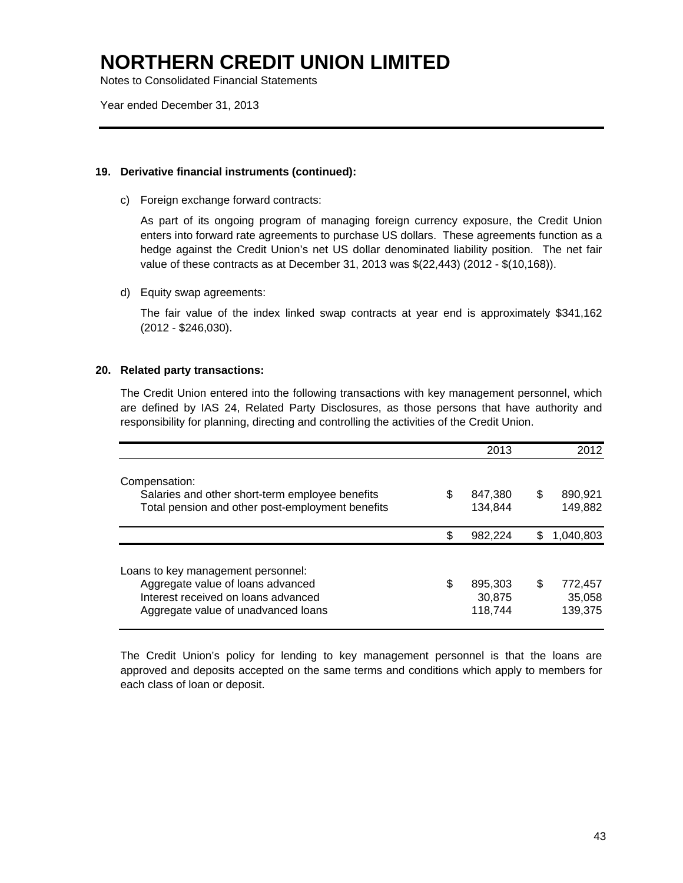Notes to Consolidated Financial Statements

Year ended December 31, 2013

### **19. Derivative financial instruments (continued):**

c) Foreign exchange forward contracts:

 As part of its ongoing program of managing foreign currency exposure, the Credit Union enters into forward rate agreements to purchase US dollars. These agreements function as a hedge against the Credit Union's net US dollar denominated liability position. The net fair value of these contracts as at December 31, 2013 was \$(22,443) (2012 - \$(10,168)).

d) Equity swap agreements:

 The fair value of the index linked swap contracts at year end is approximately \$341,162 (2012 - \$246,030).

### **20. Related party transactions:**

The Credit Union entered into the following transactions with key management personnel, which are defined by IAS 24, Related Party Disclosures, as those persons that have authority and responsibility for planning, directing and controlling the activities of the Credit Union.

|                                                                                                                                                       |    | 2013                         | 2012                               |
|-------------------------------------------------------------------------------------------------------------------------------------------------------|----|------------------------------|------------------------------------|
| Compensation:<br>Salaries and other short-term employee benefits<br>Total pension and other post-employment benefits                                  | S  | 847,380<br>134.844           | \$<br>890,921<br>149,882           |
|                                                                                                                                                       | \$ | 982.224                      | \$<br>1,040,803                    |
| Loans to key management personnel:<br>Aggregate value of loans advanced<br>Interest received on loans advanced<br>Aggregate value of unadvanced loans | \$ | 895,303<br>30,875<br>118,744 | \$<br>772,457<br>35,058<br>139,375 |

The Credit Union's policy for lending to key management personnel is that the loans are approved and deposits accepted on the same terms and conditions which apply to members for each class of loan or deposit.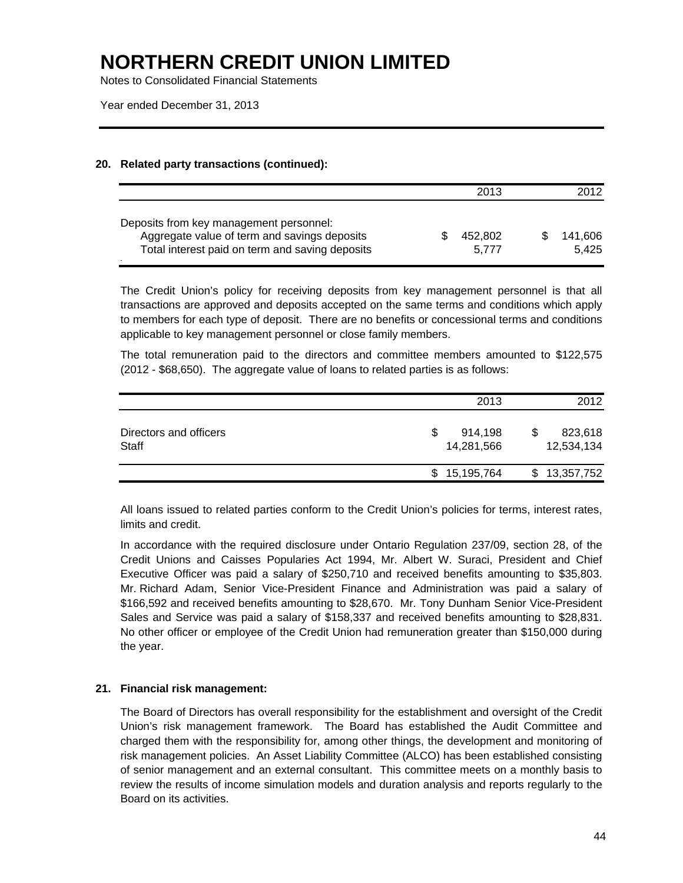Notes to Consolidated Financial Statements

Year ended December 31, 2013

### **20. Related party transactions (continued):**

|                                                                                                                                            | 2013             | 2012             |
|--------------------------------------------------------------------------------------------------------------------------------------------|------------------|------------------|
| Deposits from key management personnel:<br>Aggregate value of term and savings deposits<br>Total interest paid on term and saving deposits | 452.802<br>5.777 | 141.606<br>5.425 |

The Credit Union's policy for receiving deposits from key management personnel is that all transactions are approved and deposits accepted on the same terms and conditions which apply to members for each type of deposit. There are no benefits or concessional terms and conditions applicable to key management personnel or close family members.

 The total remuneration paid to the directors and committee members amounted to \$122,575 (2012 - \$68,650). The aggregate value of loans to related parties is as follows:

|                                 | 2013                       | 2012                  |
|---------------------------------|----------------------------|-----------------------|
| Directors and officers<br>Staff | S<br>914,198<br>14,281,566 | 823,618<br>12,534,134 |
|                                 | 15,195,764<br>S            | \$13,357,752          |

All loans issued to related parties conform to the Credit Union's policies for terms, interest rates, limits and credit.

 In accordance with the required disclosure under Ontario Regulation 237/09, section 28, of the Credit Unions and Caisses Popularies Act 1994, Mr. Albert W. Suraci, President and Chief Executive Officer was paid a salary of \$250,710 and received benefits amounting to \$35,803. Mr. Richard Adam, Senior Vice-President Finance and Administration was paid a salary of \$166,592 and received benefits amounting to \$28,670. Mr. Tony Dunham Senior Vice-President Sales and Service was paid a salary of \$158,337 and received benefits amounting to \$28,831. No other officer or employee of the Credit Union had remuneration greater than \$150,000 during the year.

### **21. Financial risk management:**

The Board of Directors has overall responsibility for the establishment and oversight of the Credit Union's risk management framework. The Board has established the Audit Committee and charged them with the responsibility for, among other things, the development and monitoring of risk management policies. An Asset Liability Committee (ALCO) has been established consisting of senior management and an external consultant. This committee meets on a monthly basis to review the results of income simulation models and duration analysis and reports regularly to the Board on its activities.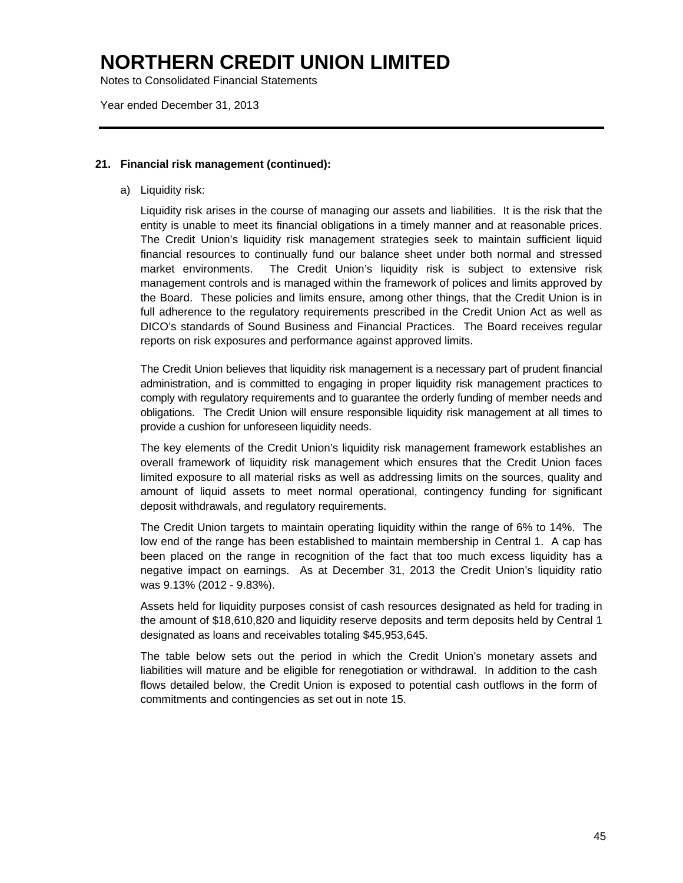Notes to Consolidated Financial Statements

Year ended December 31, 2013

### **21. Financial risk management (continued):**

a) Liquidity risk:

Liquidity risk arises in the course of managing our assets and liabilities. It is the risk that the entity is unable to meet its financial obligations in a timely manner and at reasonable prices. The Credit Union's liquidity risk management strategies seek to maintain sufficient liquid financial resources to continually fund our balance sheet under both normal and stressed market environments. The Credit Union's liquidity risk is subject to extensive risk management controls and is managed within the framework of polices and limits approved by the Board. These policies and limits ensure, among other things, that the Credit Union is in full adherence to the regulatory requirements prescribed in the Credit Union Act as well as DICO's standards of Sound Business and Financial Practices. The Board receives regular reports on risk exposures and performance against approved limits.

The Credit Union believes that liquidity risk management is a necessary part of prudent financial administration, and is committed to engaging in proper liquidity risk management practices to comply with regulatory requirements and to guarantee the orderly funding of member needs and obligations. The Credit Union will ensure responsible liquidity risk management at all times to provide a cushion for unforeseen liquidity needs.

The key elements of the Credit Union's liquidity risk management framework establishes an overall framework of liquidity risk management which ensures that the Credit Union faces limited exposure to all material risks as well as addressing limits on the sources, quality and amount of liquid assets to meet normal operational, contingency funding for significant deposit withdrawals, and regulatory requirements.

The Credit Union targets to maintain operating liquidity within the range of 6% to 14%. The low end of the range has been established to maintain membership in Central 1. A cap has been placed on the range in recognition of the fact that too much excess liquidity has a negative impact on earnings. As at December 31, 2013 the Credit Union's liquidity ratio was 9.13% (2012 - 9.83%).

Assets held for liquidity purposes consist of cash resources designated as held for trading in the amount of \$18,610,820 and liquidity reserve deposits and term deposits held by Central 1 designated as loans and receivables totaling \$45,953,645.

The table below sets out the period in which the Credit Union's monetary assets and liabilities will mature and be eligible for renegotiation or withdrawal. In addition to the cash flows detailed below, the Credit Union is exposed to potential cash outflows in the form of commitments and contingencies as set out in note 15.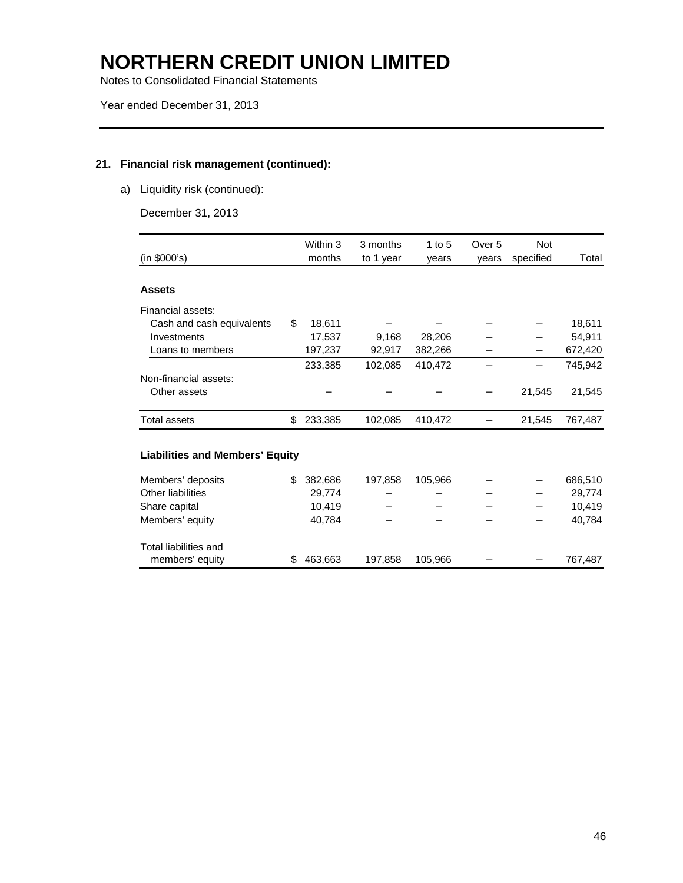Notes to Consolidated Financial Statements

### **21. Financial risk management (continued):**

a) Liquidity risk (continued):

December 31, 2013

| (in \$000's)                           |     | Within 3<br>months | 3 months<br>to 1 year | 1 to $5$<br>vears | Over 5<br>vears | <b>Not</b><br>specified | Total   |
|----------------------------------------|-----|--------------------|-----------------------|-------------------|-----------------|-------------------------|---------|
| <b>Assets</b>                          |     |                    |                       |                   |                 |                         |         |
| Financial assets:                      |     |                    |                       |                   |                 |                         |         |
| Cash and cash equivalents              | \$  | 18,611             |                       |                   |                 |                         | 18,611  |
| Investments                            |     | 17,537             | 9,168                 | 28,206            |                 |                         | 54,911  |
| Loans to members                       |     | 197,237            | 92,917                | 382,266           |                 |                         | 672,420 |
|                                        |     | 233,385            | 102,085               | 410,472           |                 |                         | 745,942 |
| Non-financial assets:                  |     |                    |                       |                   |                 |                         |         |
| Other assets                           |     |                    |                       |                   |                 | 21,545                  | 21,545  |
| Total assets                           | \$  | 233,385            | 102,085               | 410,472           |                 | 21,545                  | 767,487 |
| <b>Liabilities and Members' Equity</b> |     |                    |                       |                   |                 |                         |         |
| Members' deposits                      | \$. | 382,686            | 197,858               | 105,966           |                 |                         | 686,510 |
| Other liabilities                      |     | 29.774             |                       |                   |                 |                         | 29,774  |
| Share capital                          |     | 10,419             |                       |                   |                 |                         | 10,419  |
| Members' equity                        |     | 40,784             |                       |                   |                 |                         | 40,784  |
| Total liabilities and                  |     |                    |                       |                   |                 |                         |         |
| members' equity                        | \$  | 463,663            | 197,858               | 105,966           |                 |                         | 767,487 |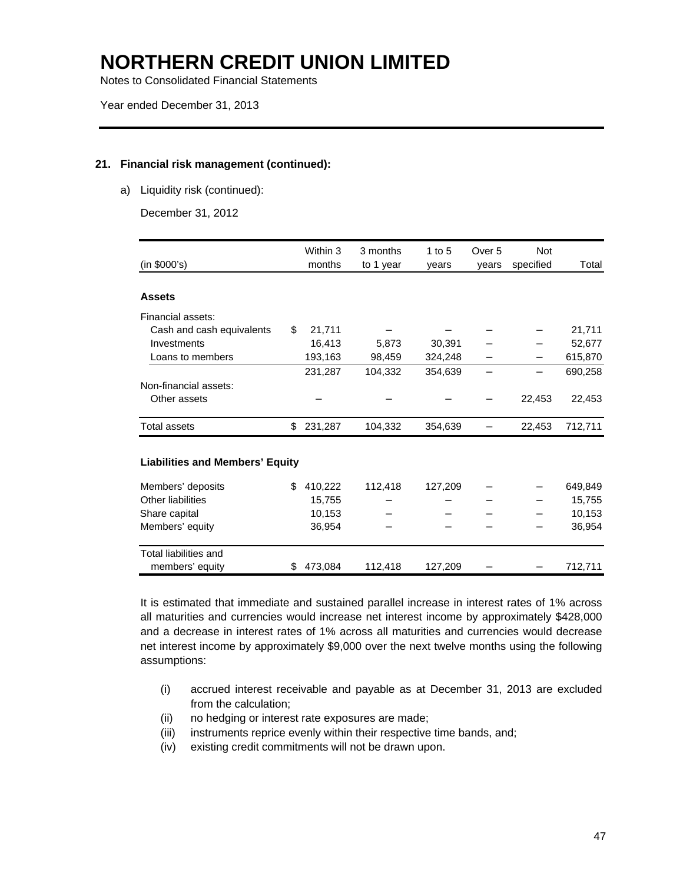Notes to Consolidated Financial Statements

Year ended December 31, 2013

### **21. Financial risk management (continued):**

a) Liquidity risk (continued):

December 31, 2012

|                                        | Within 3      | 3 months  | 1 to $5$ | Over 5 | <b>Not</b> |         |
|----------------------------------------|---------------|-----------|----------|--------|------------|---------|
| (in \$000's)                           | months        | to 1 year | years    | years  | specified  | Total   |
| <b>Assets</b>                          |               |           |          |        |            |         |
| Financial assets:                      |               |           |          |        |            |         |
| Cash and cash equivalents              | \$<br>21,711  |           |          |        |            | 21,711  |
| Investments                            | 16,413        | 5,873     | 30,391   |        |            | 52,677  |
| Loans to members                       | 193,163       | 98,459    | 324,248  |        |            | 615,870 |
|                                        | 231,287       | 104,332   | 354,639  |        |            | 690,258 |
| Non-financial assets:                  |               |           |          |        |            |         |
| Other assets                           |               |           |          |        | 22,453     | 22,453  |
| <b>Total assets</b>                    | \$<br>231,287 | 104,332   | 354,639  |        | 22,453     | 712,711 |
| <b>Liabilities and Members' Equity</b> |               |           |          |        |            |         |
| Members' deposits                      | \$<br>410,222 | 112,418   | 127,209  |        |            | 649,849 |
| Other liabilities                      | 15,755        |           |          |        |            | 15,755  |
| Share capital                          | 10,153        |           |          |        |            | 10,153  |
| Members' equity                        | 36,954        |           |          |        |            | 36,954  |
| Total liabilities and                  |               |           |          |        |            |         |
| members' equity                        | \$<br>473,084 | 112,418   | 127,209  |        |            | 712,711 |

It is estimated that immediate and sustained parallel increase in interest rates of 1% across all maturities and currencies would increase net interest income by approximately \$428,000 and a decrease in interest rates of 1% across all maturities and currencies would decrease net interest income by approximately \$9,000 over the next twelve months using the following assumptions:

- (i) accrued interest receivable and payable as at December 31, 2013 are excluded from the calculation;
- (ii) no hedging or interest rate exposures are made;
- (iii) instruments reprice evenly within their respective time bands, and;
- (iv) existing credit commitments will not be drawn upon.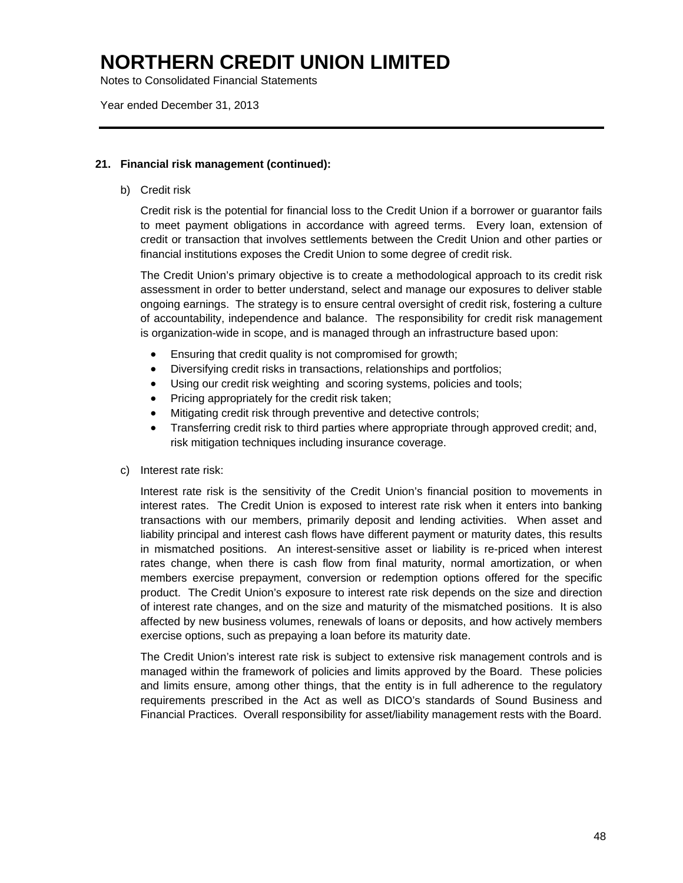Notes to Consolidated Financial Statements

Year ended December 31, 2013

### **21. Financial risk management (continued):**

b) Credit risk

Credit risk is the potential for financial loss to the Credit Union if a borrower or guarantor fails to meet payment obligations in accordance with agreed terms. Every loan, extension of credit or transaction that involves settlements between the Credit Union and other parties or financial institutions exposes the Credit Union to some degree of credit risk.

The Credit Union's primary objective is to create a methodological approach to its credit risk assessment in order to better understand, select and manage our exposures to deliver stable ongoing earnings. The strategy is to ensure central oversight of credit risk, fostering a culture of accountability, independence and balance. The responsibility for credit risk management is organization-wide in scope, and is managed through an infrastructure based upon:

- Ensuring that credit quality is not compromised for growth;
- Diversifying credit risks in transactions, relationships and portfolios;
- Using our credit risk weighting and scoring systems, policies and tools;
- Pricing appropriately for the credit risk taken;
- Mitigating credit risk through preventive and detective controls;
- Transferring credit risk to third parties where appropriate through approved credit; and, risk mitigation techniques including insurance coverage.
- c) Interest rate risk:

Interest rate risk is the sensitivity of the Credit Union's financial position to movements in interest rates. The Credit Union is exposed to interest rate risk when it enters into banking transactions with our members, primarily deposit and lending activities. When asset and liability principal and interest cash flows have different payment or maturity dates, this results in mismatched positions. An interest-sensitive asset or liability is re-priced when interest rates change, when there is cash flow from final maturity, normal amortization, or when members exercise prepayment, conversion or redemption options offered for the specific product. The Credit Union's exposure to interest rate risk depends on the size and direction of interest rate changes, and on the size and maturity of the mismatched positions. It is also affected by new business volumes, renewals of loans or deposits, and how actively members exercise options, such as prepaying a loan before its maturity date.

The Credit Union's interest rate risk is subject to extensive risk management controls and is managed within the framework of policies and limits approved by the Board. These policies and limits ensure, among other things, that the entity is in full adherence to the regulatory requirements prescribed in the Act as well as DICO's standards of Sound Business and Financial Practices. Overall responsibility for asset/liability management rests with the Board.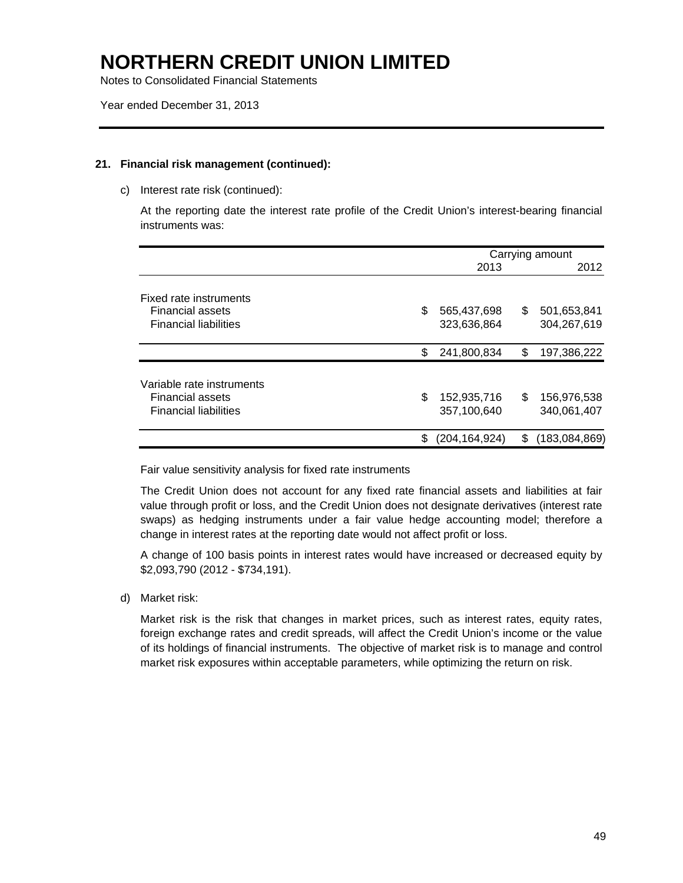Notes to Consolidated Financial Statements

### **21. Financial risk management (continued):**

c) Interest rate risk (continued):

At the reporting date the interest rate profile of the Credit Union's interest-bearing financial instruments was:

|                                                                                      |                                  | Carrying amount |                            |  |  |
|--------------------------------------------------------------------------------------|----------------------------------|-----------------|----------------------------|--|--|
|                                                                                      | 2013                             |                 |                            |  |  |
| Fixed rate instruments<br><b>Financial assets</b><br><b>Financial liabilities</b>    | \$<br>565,437,698<br>323,636,864 | S               | 501,653,841<br>304,267,619 |  |  |
|                                                                                      | \$<br>241,800,834                | S               | 197,386,222                |  |  |
| Variable rate instruments<br><b>Financial assets</b><br><b>Financial liabilities</b> | \$<br>152,935,716<br>357,100,640 | \$.             | 156,976,538<br>340,061,407 |  |  |
|                                                                                      | \$<br>(204,164,924)              | S.              | (183,084,869)              |  |  |

Fair value sensitivity analysis for fixed rate instruments

The Credit Union does not account for any fixed rate financial assets and liabilities at fair value through profit or loss, and the Credit Union does not designate derivatives (interest rate swaps) as hedging instruments under a fair value hedge accounting model; therefore a change in interest rates at the reporting date would not affect profit or loss.

A change of 100 basis points in interest rates would have increased or decreased equity by \$2,093,790 (2012 - \$734,191).

d) Market risk:

Market risk is the risk that changes in market prices, such as interest rates, equity rates, foreign exchange rates and credit spreads, will affect the Credit Union's income or the value of its holdings of financial instruments. The objective of market risk is to manage and control market risk exposures within acceptable parameters, while optimizing the return on risk.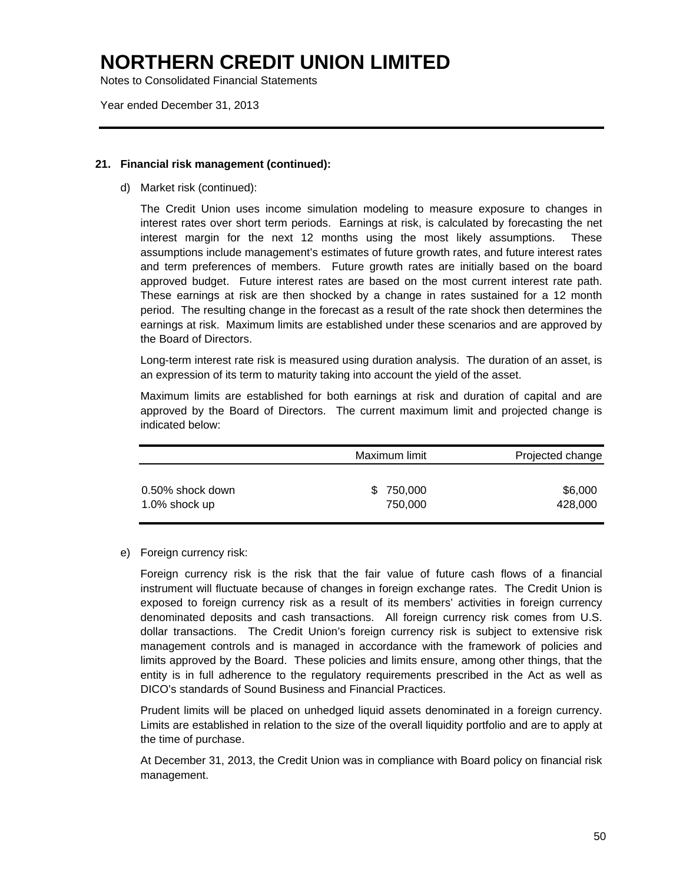Notes to Consolidated Financial Statements

Year ended December 31, 2013

### **21. Financial risk management (continued):**

d) Market risk (continued):

The Credit Union uses income simulation modeling to measure exposure to changes in interest rates over short term periods. Earnings at risk, is calculated by forecasting the net interest margin for the next 12 months using the most likely assumptions. These assumptions include management's estimates of future growth rates, and future interest rates and term preferences of members. Future growth rates are initially based on the board approved budget. Future interest rates are based on the most current interest rate path. These earnings at risk are then shocked by a change in rates sustained for a 12 month period. The resulting change in the forecast as a result of the rate shock then determines the earnings at risk. Maximum limits are established under these scenarios and are approved by the Board of Directors.

Long-term interest rate risk is measured using duration analysis. The duration of an asset, is an expression of its term to maturity taking into account the yield of the asset.

Maximum limits are established for both earnings at risk and duration of capital and are approved by the Board of Directors. The current maximum limit and projected change is indicated below:

|                  | Maximum limit | Projected change |
|------------------|---------------|------------------|
| 0.50% shock down | \$750,000     | \$6,000          |
| 1.0% shock up    | 750,000       | 428,000          |

e) Foreign currency risk:

 Foreign currency risk is the risk that the fair value of future cash flows of a financial instrument will fluctuate because of changes in foreign exchange rates. The Credit Union is exposed to foreign currency risk as a result of its members' activities in foreign currency denominated deposits and cash transactions. All foreign currency risk comes from U.S. dollar transactions. The Credit Union's foreign currency risk is subject to extensive risk management controls and is managed in accordance with the framework of policies and limits approved by the Board. These policies and limits ensure, among other things, that the entity is in full adherence to the regulatory requirements prescribed in the Act as well as DICO's standards of Sound Business and Financial Practices.

Prudent limits will be placed on unhedged liquid assets denominated in a foreign currency. Limits are established in relation to the size of the overall liquidity portfolio and are to apply at the time of purchase.

At December 31, 2013, the Credit Union was in compliance with Board policy on financial risk management.